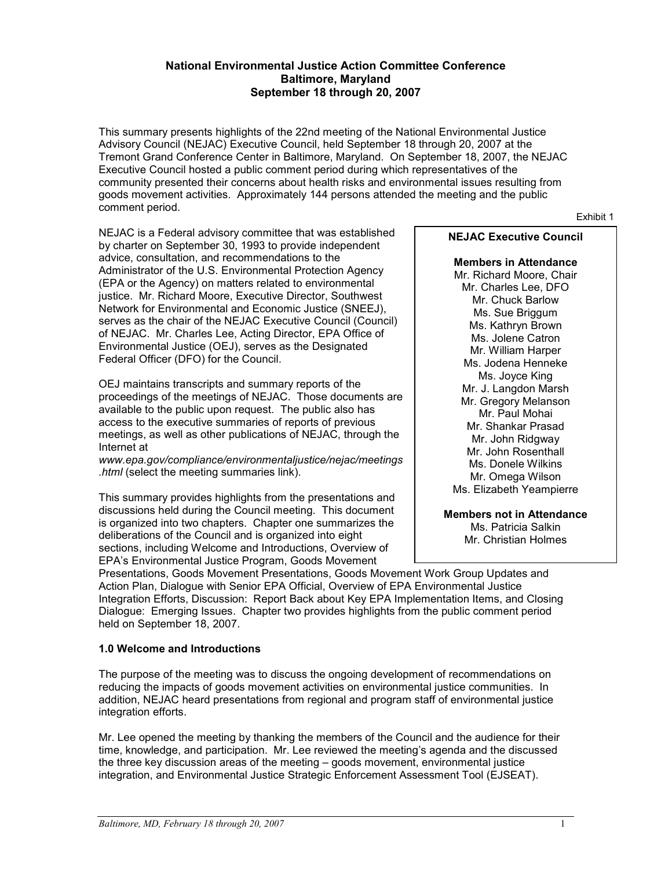#### **National Environmental Justice Action Committee Conference Baltimore, Maryland September 18 through 20, 2007**

This summary presents highlights of the 22nd meeting of the National Environmental Justice Advisory Council (NEJAC) Executive Council, held September 18 through 20, 2007 at the Tremont Grand Conference Center in Baltimore, Maryland. On September 18, 2007, the NEJAC Executive Council hosted a public comment period during which representatives of the community presented their concerns about health risks and environmental issues resulting from goods movement activities. Approximately 144 persons attended the meeting and the public comment period. Exhibit <sup>1</sup>

NEJAC is a Federal advisory committee that was established **NEJAC Executive Council** by charter on September 30, 1993 to provide independent advice, consultation, and recommendations to the **Members in Attendance** Administrator of the U.S. Environmental Protection Agency Mr. Richard Moore, Chair (EPA or the Agency) on matters related to environmental Mr. Charles Lee, DFO justice. Mr. Richard Moore, Executive Director, Southwest Mr. Chuck Barlow Network for Environmental and Economic Justice (SNEEJ), Ms. Sue Briggum<br>
Ms. Sue Briggum Ms. Sue Briggum Ms. Kathryn Brown serves as the chair of the NEJAC Executive Council (Council) of NEJAC. Mr. Charles Lee, Acting Director, EPA Office of Ms. Jolene Catron Environmental Justice (OEJ), serves as the Designated Mr. William Harper Federal Officer (DFO) for the Council. Ms. Jodena Henneke

Ms. Joyce King OEJ maintains transcripts and summary reports of the Mr. J. Langdon Marsh proceedings of the meetings of NEJAC. Those documents are Mr. Gregory Melanson available to the public upon request. The public also has Mr. Gregory Melanson available to the public upon request. The public also has  $access$  to the executive summaries of reports of previous  $Mr$ . Shankar Prasad meetings, as well as other publications of NEJAC, through the Mr. John Ridgway<br>Internet at Mr. John Ridgway Mr. John Ridgway<br>W. John Rosenthall Ms. Donele Wilkins

www.epa.gov/compliance/environmentaljustice/nejac/meetings Ms. Donele Wilkins<br>html (select the meeting summaries link). Mr. Omega Wilson.

This summary provides highlights from the presentations and discussions held during the Council meeting. This document **Members not in Attendance** is organized into two chapters. Chapter one summarizes the  $M_s$ . Ms. Patricia Salkin deliberations of the Council and is organized into eight  $M_r$ . Christian Holmes sections, including Welcome and Introductions, Overview of EPA's Environmental Justice Program, Goods Movement

Ms. Elizabeth Yeampierre

Presentations, Goods Movement Presentations, Goods Movement Work Group Updates and Action Plan, Dialogue with Senior EPA Official, Overview of EPA Environmental Justice Integration Efforts, Discussion: Report Back about Key EPA Implementation Items, and Closing Dialogue: Emerging Issues. Chapter two provides highlights from the public comment period held on September 18, 2007.

### **1.0 Welcome and Introductions**

The purpose of the meeting was to discuss the ongoing development of recommendations on reducing the impacts of goods movement activities on environmental justice communities. In addition, NEJAC heard presentations from regional and program staff of environmental justice integration efforts.

Mr. Lee opened the meeting by thanking the members of the Council and the audience for their time, knowledge, and participation. Mr. Lee reviewed the meeting's agenda and the discussed the three key discussion areas of the meeting – goods movement, environmental justice integration, and Environmental Justice Strategic Enforcement Assessment Tool (EJSEAT).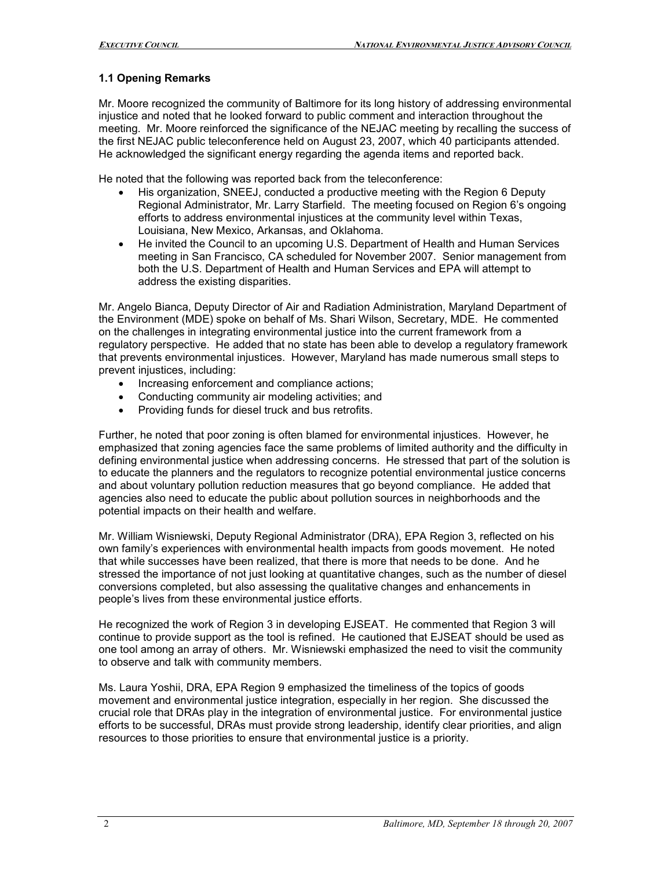# **1.1 Opening Remarks**

Mr. Moore recognized the community of Baltimore for its long history of addressing environmental injustice and noted that he looked forward to public comment and interaction throughout the meeting. Mr. Moore reinforced the significance of the NEJAC meeting by recalling the success of the first NEJAC public teleconference held on August 23, 2007, which 40 participants attended. He acknowledged the significant energy regarding the agenda items and reported back.

He noted that the following was reported back from the teleconference:

- His organization, SNEEJ, conducted a productive meeting with the Region 6 Deputy Regional Administrator, Mr. Larry Starfield. The meeting focused on Region 6's ongoing efforts to address environmental injustices at the community level within Texas, Louisiana, New Mexico, Arkansas, and Oklahoma.
- He invited the Council to an upcoming U.S. Department of Health and Human Services meeting in San Francisco, CA scheduled for November 2007. Senior management from both the U.S. Department of Health and Human Services and EPA will attempt to address the existing disparities.

Mr. Angelo Bianca, Deputy Director of Air and Radiation Administration, Maryland Department of the Environment (MDE) spoke on behalf of Ms. Shari Wilson, Secretary, MDE. He commented on the challenges in integrating environmental justice into the current framework from a regulatory perspective. He added that no state has been able to develop a regulatory framework that prevents environmental injustices. However, Maryland has made numerous small steps to prevent injustices, including:

- Increasing enforcement and compliance actions;
- Conducting community air modeling activities; and
- Providing funds for diesel truck and bus retrofits.

Further, he noted that poor zoning is often blamed for environmental injustices. However, he emphasized that zoning agencies face the same problems of limited authority and the difficulty in defining environmental justice when addressing concerns. He stressed that part of the solution is to educate the planners and the regulators to recognize potential environmental justice concerns and about voluntary pollution reduction measures that go beyond compliance. He added that agencies also need to educate the public about pollution sources in neighborhoods and the potential impacts on their health and welfare.

Mr. William Wisniewski, Deputy Regional Administrator (DRA), EPA Region 3, reflected on his own family's experiences with environmental health impacts from goods movement. He noted that while successes have been realized, that there is more that needs to be done. And he stressed the importance of not just looking at quantitative changes, such as the number of diesel conversions completed, but also assessing the qualitative changes and enhancements in people's lives from these environmental justice efforts.

He recognized the work of Region 3 in developing EJSEAT. He commented that Region 3 will continue to provide support as the tool is refined. He cautioned that EJSEAT should be used as one tool among an array of others. Mr. Wisniewski emphasized the need to visit the community to observe and talk with community members.

Ms. Laura Yoshii, DRA, EPA Region 9 emphasized the timeliness of the topics of goods movement and environmental justice integration, especially in her region. She discussed the crucial role that DRAs play in the integration of environmental justice. For environmental justice efforts to be successful, DRAs must provide strong leadership, identify clear priorities, and align resources to those priorities to ensure that environmental justice is a priority.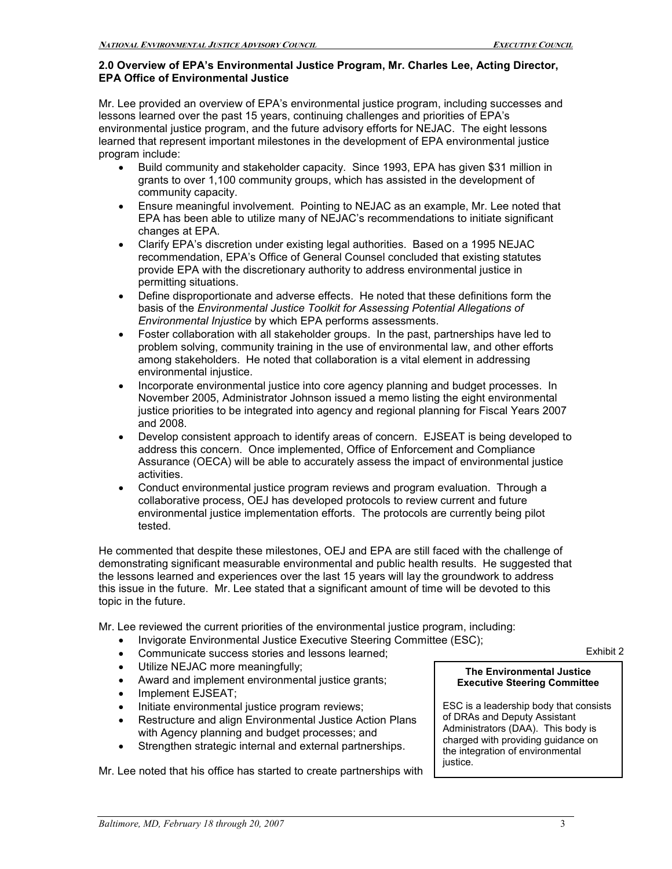### **2.0 Overview of EPA's Environmental Justice Program, Mr. Charles Lee, Acting Director, EPA Office of Environmental Justice**

Mr. Lee provided an overview of EPA's environmental justice program, including successes and lessons learned over the past 15 years, continuing challenges and priorities of EPA's environmental justice program, and the future advisory efforts for NEJAC. The eight lessons learned that represent important milestones in the development of EPA environmental justice program include:

- Build community and stakeholder capacity. Since 1993, EPA has given \$31 million in grants to over 1,100 community groups, which has assisted in the development of community capacity.
- Ensure meaningful involvement. Pointing to NEJAC as an example, Mr. Lee noted that EPA has been able to utilize many of NEJAC's recommendations to initiate significant changes at EPA.
- Clarify EPA's discretion under existing legal authorities. Based on a 1995 NEJAC recommendation, EPA's Office of General Counsel concluded that existing statutes provide EPA with the discretionary authority to address environmental justice in permitting situations.
- Define disproportionate and adverse effects. He noted that these definitions form the basis of the *Environmental Justice Toolkit for Assessing Potential Allegations of Environmental Injustice* by which EPA performs assessments.
- Foster collaboration with all stakeholder groups. In the past, partnerships have led to problem solving, community training in the use of environmental law, and other efforts among stakeholders. He noted that collaboration is a vital element in addressing environmental injustice.
- Incorporate environmental justice into core agency planning and budget processes. In November 2005, Administrator Johnson issued a memo listing the eight environmental justice priorities to be integrated into agency and regional planning for Fiscal Years 2007 and 2008.
- Develop consistent approach to identify areas of concern. EJSEAT is being developed to address this concern. Once implemented, Office of Enforcement and Compliance Assurance (OECA) will be able to accurately assess the impact of environmental justice activities.
- Conduct environmental justice program reviews and program evaluation. Through a collaborative process, OEJ has developed protocols to review current and future environmental justice implementation efforts. The protocols are currently being pilot tested.

He commented that despite these milestones, OEJ and EPA are still faced with the challenge of demonstrating significant measurable environmental and public health results. He suggested that the lessons learned and experiences over the last 15 years will lay the groundwork to address this issue in the future. Mr. Lee stated that a significant amount of time will be devoted to this topic in the future.

Mr. Lee reviewed the current priorities of the environmental justice program, including:

- Invigorate Environmental Justice Executive Steering Committee (ESC);
- **Communicate success stories and lessons learned;** Exhibit 2
- 
- Utilize NEJAC more meaningfully; **The Environmental Justice** Award and implement environmental justice grants; **Executive Steering Committee**
- Implement EJSEAT;
- 
- Restructure and align Environmental Justice Action Plans of DRAs and Deputy Assistant<br>with Agency planning and budget processes: and Administrators (DAA). This body is with Agency planning and budget processes; and administrators (DAA). This body is
- Strengthen strategic internal and external partnerships. | Charged with providing guidance

justice. Mr. Lee noted that his office has started to create partnerships with

Initiate environmental justice program reviews;<br>
Restructure and align Environmental Justice Action Plans of DRAs and Deputy Assistant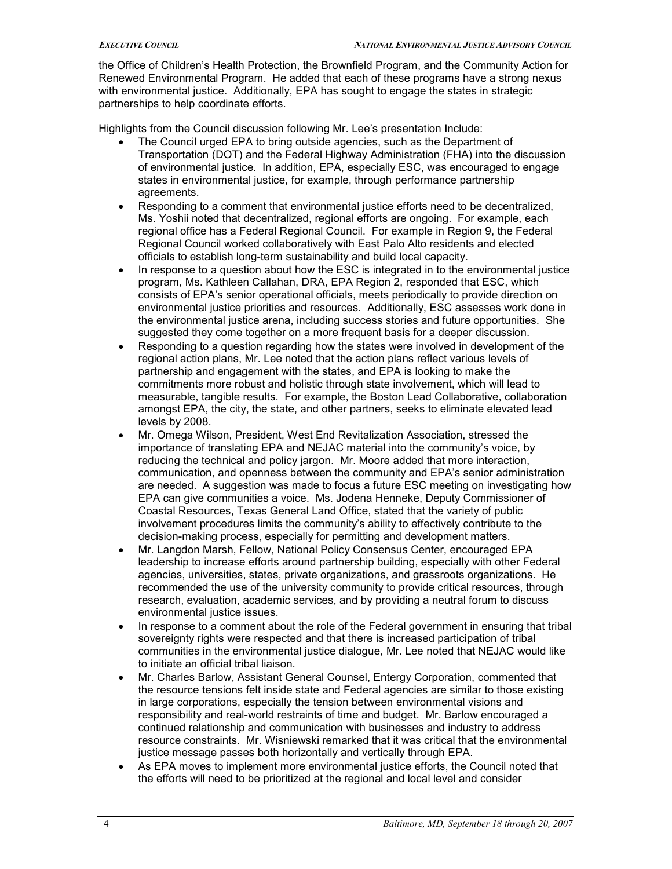the Office of Children's Health Protection, the Brownfield Program, and the Community Action for Renewed Environmental Program. He added that each of these programs have a strong nexus with environmental justice. Additionally, EPA has sought to engage the states in strategic partnerships to help coordinate efforts.

Highlights from the Council discussion following Mr. Lee's presentation Include:

- The Council urged EPA to bring outside agencies, such as the Department of Transportation (DOT) and the Federal Highway Administration (FHA) into the discussion of environmental justice. In addition, EPA, especially ESC, was encouraged to engage states in environmental justice, for example, through performance partnership agreements.
- Responding to a comment that environmental justice efforts need to be decentralized, Ms. Yoshii noted that decentralized, regional efforts are ongoing. For example, each regional office has a Federal Regional Council. For example in Region 9, the Federal Regional Council worked collaboratively with East Palo Alto residents and elected officials to establish long-term sustainability and build local capacity.
- In response to a question about how the ESC is integrated in to the environmental justice program, Ms. Kathleen Callahan, DRA, EPA Region 2, responded that ESC, which consists of EPA's senior operational officials, meets periodically to provide direction on environmental justice priorities and resources. Additionally, ESC assesses work done in the environmental justice arena, including success stories and future opportunities. She suggested they come together on a more frequent basis for a deeper discussion.
- Responding to a question regarding how the states were involved in development of the regional action plans, Mr. Lee noted that the action plans reflect various levels of partnership and engagement with the states, and EPA is looking to make the commitments more robust and holistic through state involvement, which will lead to measurable, tangible results. For example, the Boston Lead Collaborative, collaboration amongst EPA, the city, the state, and other partners, seeks to eliminate elevated lead levels by 2008.
- Mr. Omega Wilson, President, West End Revitalization Association, stressed the importance of translating EPA and NEJAC material into the community's voice, by reducing the technical and policy jargon. Mr. Moore added that more interaction, communication, and openness between the community and EPA's senior administration are needed. A suggestion was made to focus a future ESC meeting on investigating how EPA can give communities a voice. Ms. Jodena Henneke, Deputy Commissioner of Coastal Resources, Texas General Land Office, stated that the variety of public involvement procedures limits the community's ability to effectively contribute to the decision-making process, especially for permitting and development matters.
- Mr. Langdon Marsh, Fellow, National Policy Consensus Center, encouraged EPA leadership to increase efforts around partnership building, especially with other Federal agencies, universities, states, private organizations, and grassroots organizations. He recommended the use of the university community to provide critical resources, through research, evaluation, academic services, and by providing a neutral forum to discuss environmental justice issues.
- In response to a comment about the role of the Federal government in ensuring that tribal sovereignty rights were respected and that there is increased participation of tribal communities in the environmental justice dialogue, Mr. Lee noted that NEJAC would like to initiate an official tribal liaison.
- Mr. Charles Barlow, Assistant General Counsel, Entergy Corporation, commented that the resource tensions felt inside state and Federal agencies are similar to those existing in large corporations, especially the tension between environmental visions and responsibility and real-world restraints of time and budget. Mr. Barlow encouraged a continued relationship and communication with businesses and industry to address resource constraints. Mr. Wisniewski remarked that it was critical that the environmental justice message passes both horizontally and vertically through EPA.
- As EPA moves to implement more environmental justice efforts, the Council noted that the efforts will need to be prioritized at the regional and local level and consider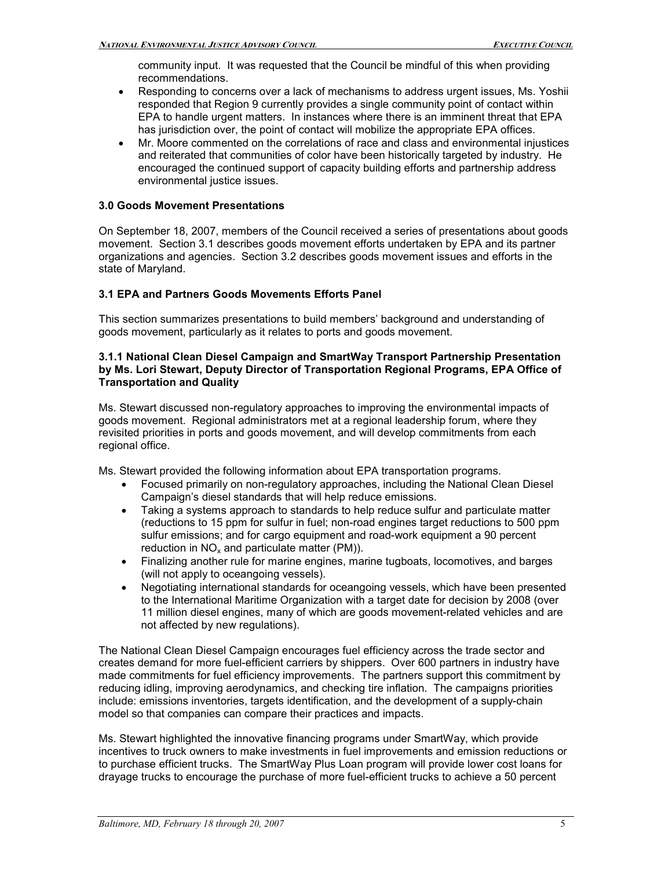community input. It was requested that the Council be mindful of this when providing recommendations.

- Responding to concerns over a lack of mechanisms to address urgent issues, Ms. Yoshii responded that Region 9 currently provides a single community point of contact within EPA to handle urgent matters. In instances where there is an imminent threat that EPA has jurisdiction over, the point of contact will mobilize the appropriate EPA offices.
- Mr. Moore commented on the correlations of race and class and environmental injustices and reiterated that communities of color have been historically targeted by industry. He encouraged the continued support of capacity building efforts and partnership address environmental justice issues.

### **3.0 Goods Movement Presentations**

On September 18, 2007, members of the Council received a series of presentations about goods movement. Section 3.1 describes goods movement efforts undertaken by EPA and its partner organizations and agencies. Section 3.2 describes goods movement issues and efforts in the state of Maryland.

### **3.1 EPA and Partners Goods Movements Efforts Panel**

This section summarizes presentations to build members' background and understanding of goods movement, particularly as it relates to ports and goods movement.

#### **3.1.1 National Clean Diesel Campaign and SmartWay Transport Partnership Presentation by Ms. Lori Stewart, Deputy Director of Transportation Regional Programs, EPA Office of Transportation and Quality**

Ms. Stewart discussed non-regulatory approaches to improving the environmental impacts of goods movement. Regional administrators met at a regional leadership forum, where they revisited priorities in ports and goods movement, and will develop commitments from each regional office.

Ms. Stewart provided the following information about EPA transportation programs.

- Focused primarily on non-regulatory approaches, including the National Clean Diesel Campaign's diesel standards that will help reduce emissions.
- Taking a systems approach to standards to help reduce sulfur and particulate matter (reductions to 15 ppm for sulfur in fuel; non-road engines target reductions to 500 ppm sulfur emissions; and for cargo equipment and road-work equipment a 90 percent reduction in  $NO<sub>x</sub>$  and particulate matter (PM)).
- Finalizing another rule for marine engines, marine tugboats, locomotives, and barges (will not apply to oceangoing vessels).
- Negotiating international standards for oceangoing vessels, which have been presented to the International Maritime Organization with a target date for decision by 2008 (over 11 million diesel engines, many of which are goods movement-related vehicles and are not affected by new regulations).

The National Clean Diesel Campaign encourages fuel efficiency across the trade sector and creates demand for more fuelefficient carriers by shippers. Over 600 partners in industry have made commitments for fuel efficiency improvements. The partners support this commitment by reducing idling, improving aerodynamics, and checking tire inflation. The campaigns priorities include: emissions inventories, targets identification, and the development of a supply-chain model so that companies can compare their practices and impacts.

Ms. Stewart highlighted the innovative financing programs under SmartWay, which provide incentives to truck owners to make investments in fuel improvements and emission reductions or to purchase efficient trucks. The SmartWay Plus Loan program will provide lower cost loans for drayage trucks to encourage the purchase of more fuelefficient trucks to achieve a 50 percent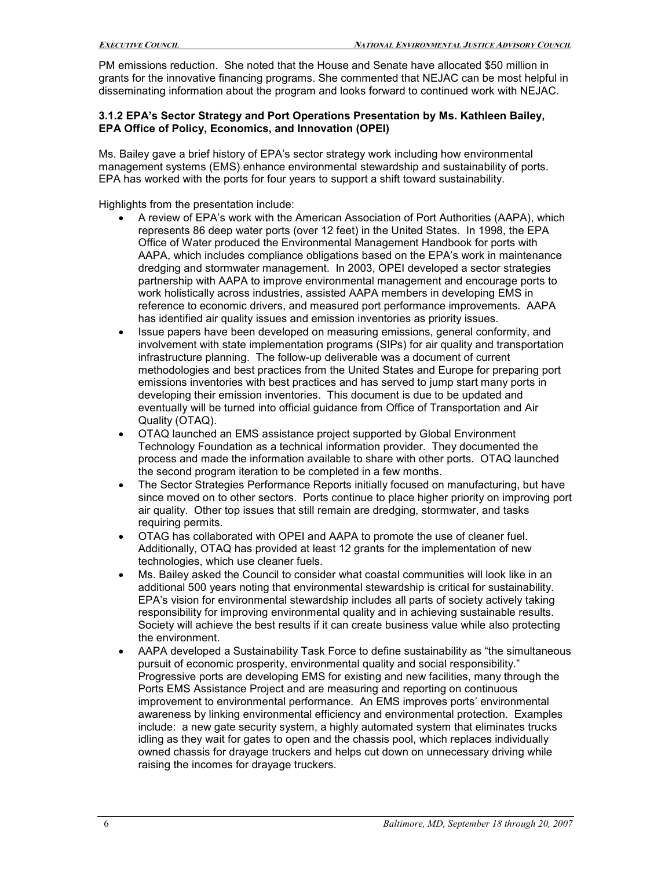PM emissions reduction. She noted that the House and Senate have allocated \$50 million in grants for the innovative financing programs. She commented that NEJAC can be most helpful in disseminating information about the program and looks forward to continued work with NEJAC.

#### **3.1.2 EPA's Sector Strategy and Port Operations Presentation by Ms. Kathleen Bailey, EPA Office of Policy, Economics, and Innovation (OPEI)**

Ms. Bailey gave a brief history of EPA's sector strategy work including how environmental management systems (EMS) enhance environmental stewardship and sustainability of ports. EPA has worked with the ports for four years to support a shift toward sustainability.

Highlights from the presentation include:

- A review of EPA's work with the American Association of Port Authorities (AAPA), which represents 86 deep water ports (over 12 feet) in the United States. In 1998, the EPA Office of Water produced the Environmental Management Handbook for ports with AAPA, which includes compliance obligations based on the EPA's work in maintenance dredging and stormwater management. In 2003, OPEI developed a sector strategies partnership with AAPA to improve environmental management and encourage ports to work holistically across industries, assisted AAPA members in developing EMS in reference to economic drivers, and measured port performance improvements. AAPA has identified air quality issues and emission inventories as priority issues.
- Issue papers have been developed on measuring emissions, general conformity, and involvement with state implementation programs (SIPs) for air quality and transportation infrastructure planning. The follow-up deliverable was a document of current methodologies and best practices from the United States and Europe for preparing port emissions inventories with best practices and has served to jump start many ports in developing their emission inventories. This document is due to be updated and eventually will be turned into official guidance from Office of Transportation and Air Quality (OTAQ).
- OTAQ launched an EMS assistance project supported by Global Environment Technology Foundation as a technical information provider. They documented the process and made the information available to share with other ports. OTAQ launched the second program iteration to be completed in a few months.
- The Sector Strategies Performance Reports initially focused on manufacturing, but have since moved on to other sectors. Ports continue to place higher priority on improving port air quality. Other top issues that still remain are dredging, stormwater, and tasks requiring permits.
- OTAG has collaborated with OPEI and AAPA to promote the use of cleaner fuel. Additionally, OTAQ has provided at least 12 grants for the implementation of new technologies, which use cleaner fuels.
- Ms. Bailey asked the Council to consider what coastal communities will look like in an additional 500 years noting that environmental stewardship is critical for sustainability. EPA's vision for environmental stewardship includes all parts of society actively taking responsibility for improving environmental quality and in achieving sustainable results. Society will achieve the best results if it can create business value while also protecting the environment.
- AAPA developed a Sustainability Task Force to define sustainability as "the simultaneous pursuit of economic prosperity, environmental quality and social responsibility." Progressive ports are developing EMS for existing and new facilities, many through the Ports EMS Assistance Project and are measuring and reporting on continuous improvement to environmental performance. An EMS improves ports' environmental awareness by linking environmental efficiency and environmental protection. Examples include: a new gate security system, a highly automated system that eliminates trucks idling as they wait for gates to open and the chassis pool, which replaces individually owned chassis for drayage truckers and helps cut down on unnecessary driving while raising the incomes for drayage truckers.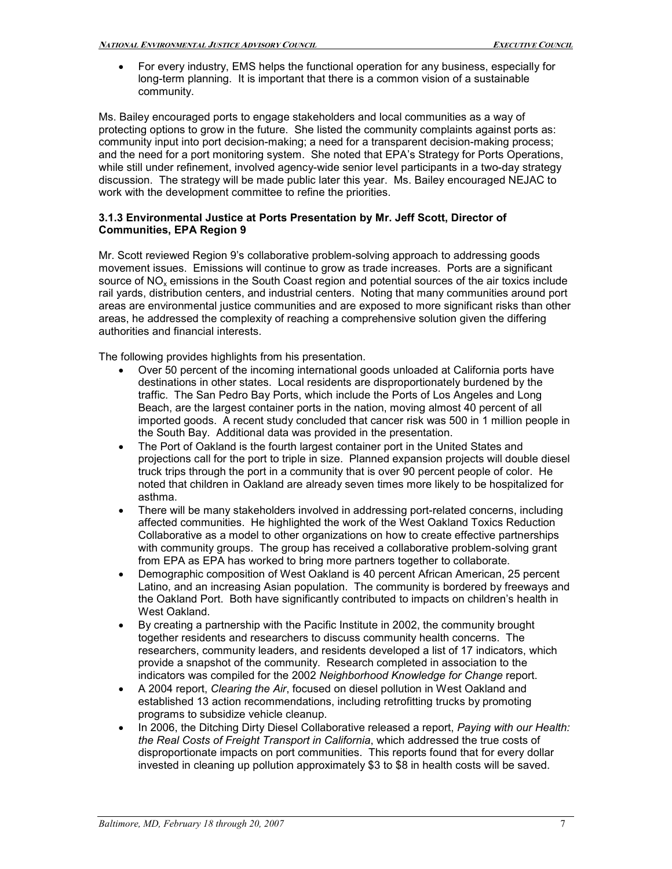• For every industry, EMS helps the functional operation for any business, especially for long-term planning. It is important that there is a common vision of a sustainable community.

Ms. Bailey encouraged ports to engage stakeholders and local communities as a way of protecting options to grow in the future. She listed the community complaints against ports as: community input into port decision-making; a need for a transparent decision-making process; and the need for a port monitoring system. She noted that EPA's Strategy for Ports Operations, while still under refinement, involved agency-wide senior level participants in a two-day strategy discussion. The strategy will be made public later this year. Ms. Bailey encouraged NEJAC to work with the development committee to refine the priorities.

#### **3.1.3 Environmental Justice at Ports Presentation by Mr. Jeff Scott, Director of Communities, EPA Region 9**

Mr. Scott reviewed Region 9's collaborative problem-solving approach to addressing goods movement issues. Emissions will continue to grow as trade increases. Ports are a significant source of NO<sub>x</sub> emissions in the South Coast region and potential sources of the air toxics include rail yards, distribution centers, and industrial centers. Noting that many communities around port areas are environmental justice communities and are exposed to more significant risks than other areas, he addressed the complexity of reaching a comprehensive solution given the differing authorities and financial interests.

The following provides highlights from his presentation.

- Over 50 percent of the incoming international goods unloaded at California ports have destinations in other states. Local residents are disproportionately burdened by the traffic. The San Pedro Bay Ports, which include the Ports of Los Angeles and Long Beach, are the largest container ports in the nation, moving almost 40 percent of all imported goods. A recent study concluded that cancer risk was 500 in 1 million people in the South Bay. Additional data was provided in the presentation.
- The Port of Oakland is the fourth largest container port in the United States and projections call for the port to triple in size. Planned expansion projects will double diesel truck trips through the port in a community that is over 90 percent people of color. He noted that children in Oakland are already seven times more likely to be hospitalized for asthma.
- There will be many stakeholders involved in addressing port-related concerns, including affected communities. He highlighted the work of the West Oakland Toxics Reduction Collaborative as a model to other organizations on how to create effective partnerships with community groups. The group has received a collaborative problem-solving grant from EPA as EPA has worked to bring more partners together to collaborate.
- Demographic composition of West Oakland is 40 percent African American, 25 percent Latino, and an increasing Asian population. The community is bordered by freeways and the Oakland Port. Both have significantly contributed to impacts on children's health in West Oakland.
- By creating a partnership with the Pacific Institute in 2002, the community brought together residents and researchers to discuss community health concerns. The researchers, community leaders, and residents developed a list of 17 indicators, which provide a snapshot of the community. Research completed in association to the indicators was compiled for the 2002 *Neighborhood Knowledge for Change* report.
- A 2004 report, *Clearing the Air*, focused on diesel pollution in West Oakland and established 13 action recommendations, including retrofitting trucks by promoting programs to subsidize vehicle cleanup.
- In 2006, the Ditching Dirty Diesel Collaborative released a report, *Paying with our Health: the Real Costs of Freight Transport in California*, which addressed the true costs of disproportionate impacts on port communities. This reports found that for every dollar invested in cleaning up pollution approximately \$3 to \$8 in health costs will be saved.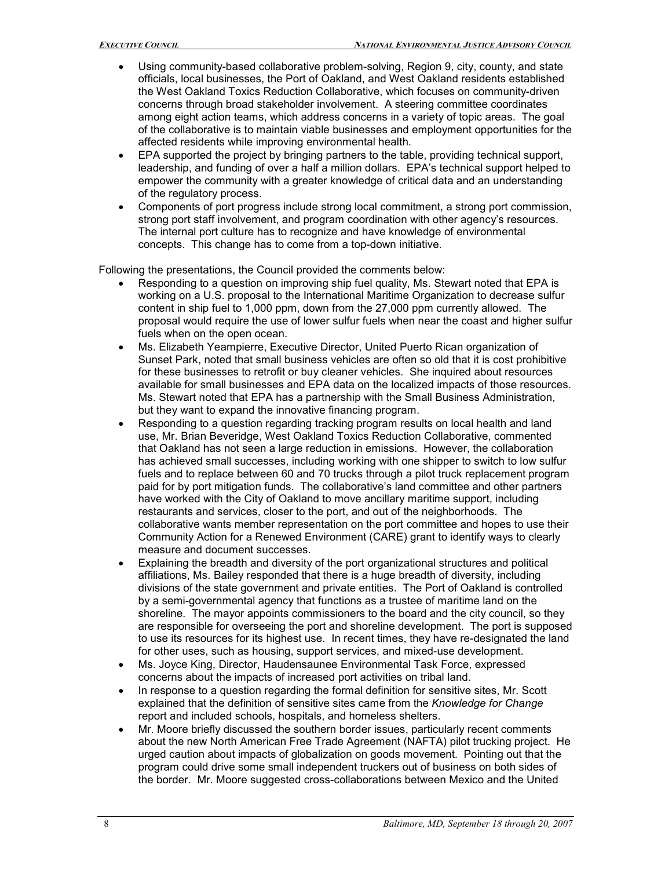- Using community-based collaborative problem-solving, Region 9, city, county, and state officials, local businesses, the Port of Oakland, and West Oakland residents established the West Oakland Toxics Reduction Collaborative, which focuses on community-driven concerns through broad stakeholder involvement. A steering committee coordinates among eight action teams, which address concerns in a variety of topic areas. The goal of the collaborative is to maintain viable businesses and employment opportunities for the affected residents while improving environmental health.
- EPA supported the project by bringing partners to the table, providing technical support, leadership, and funding of over a half a million dollars. EPA's technical support helped to empower the community with a greater knowledge of critical data and an understanding of the regulatory process.
- Components of port progress include strong local commitment, a strong port commission, strong port staff involvement, and program coordination with other agency's resources. The internal port culture has to recognize and have knowledge of environmental concepts. This change has to come from a top-down initiative.

Following the presentations, the Council provided the comments below:

- Responding to a question on improving ship fuel quality, Ms. Stewart noted that EPA is working on a U.S. proposal to the International Maritime Organization to decrease sulfur content in ship fuel to 1,000 ppm, down from the 27,000 ppm currently allowed. The proposal would require the use of lower sulfur fuels when near the coast and higher sulfur fuels when on the open ocean.
- Ms. Elizabeth Yeampierre, Executive Director, United Puerto Rican organization of Sunset Park, noted that small business vehicles are often so old that it is cost prohibitive for these businesses to retrofit or buy cleaner vehicles. She inquired about resources available for small businesses and EPA data on the localized impacts of those resources. Ms. Stewart noted that EPA has a partnership with the Small Business Administration, but they want to expand the innovative financing program.
- Responding to a question regarding tracking program results on local health and land use, Mr. Brian Beveridge, West Oakland Toxics Reduction Collaborative, commented that Oakland has not seen a large reduction in emissions. However, the collaboration has achieved small successes, including working with one shipper to switch to low sulfur fuels and to replace between 60 and 70 trucks through a pilot truck replacement program paid for by port mitigation funds. The collaborative's land committee and other partners have worked with the City of Oakland to move ancillary maritime support, including restaurants and services, closer to the port, and out of the neighborhoods. The collaborative wants member representation on the port committee and hopes to use their Community Action for a Renewed Environment (CARE) grant to identify ways to clearly measure and document successes.
- Explaining the breadth and diversity of the port organizational structures and political affiliations, Ms. Bailey responded that there is a huge breadth of diversity, including divisions of the state government and private entities. The Port of Oakland is controlled by a semi-governmental agency that functions as a trustee of maritime land on the shoreline. The mayor appoints commissioners to the board and the city council, so they are responsible for overseeing the port and shoreline development. The port is supposed to use its resources for its highest use. In recent times, they have redesignated the land for other uses, such as housing, support services, and mixed-use development.
- Ms. Joyce King, Director, Haudensaunee Environmental Task Force, expressed concerns about the impacts of increased port activities on tribal land.
- In response to a question regarding the formal definition for sensitive sites, Mr. Scott explained that the definition of sensitive sites came from the *Knowledge for Change* report and included schools, hospitals, and homeless shelters.
- Mr. Moore briefly discussed the southern border issues, particularly recent comments about the new North American Free Trade Agreement (NAFTA) pilot trucking project. He urged caution about impacts of globalization on goods movement. Pointing out that the program could drive some small independent truckers out of business on both sides of the border. Mr. Moore suggested crosscollaborations between Mexico and the United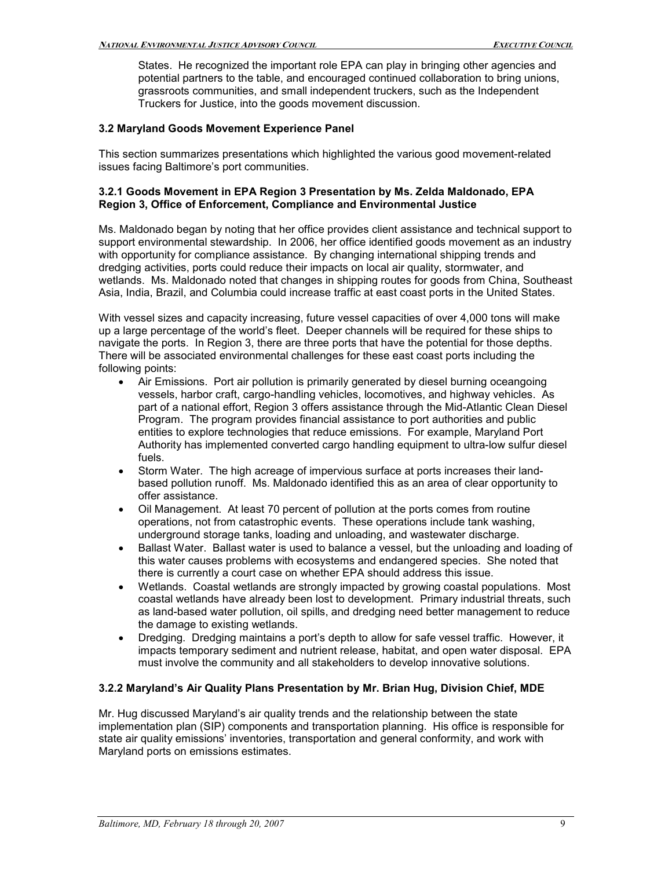States. He recognized the important role EPA can play in bringing other agencies and potential partners to the table, and encouraged continued collaboration to bring unions, grassroots communities, and small independent truckers, such as the Independent Truckers for Justice, into the goods movement discussion.

#### **3.2 Maryland Goods Movement Experience Panel**

This section summarizes presentations which highlighted the various good movement-related issues facing Baltimore's port communities.

#### **3.2.1 Goods Movement in EPA Region 3 Presentation by Ms. Zelda Maldonado, EPA Region 3, Office of Enforcement, Compliance and Environmental Justice**

Ms. Maldonado began by noting that her office provides client assistance and technical support to support environmental stewardship. In 2006, her office identified goods movement as an industry with opportunity for compliance assistance. By changing international shipping trends and dredging activities, ports could reduce their impacts on local air quality, stormwater, and wetlands. Ms. Maldonado noted that changes in shipping routes for goods from China, Southeast Asia, India, Brazil, and Columbia could increase traffic at east coast ports in the United States.

With vessel sizes and capacity increasing, future vessel capacities of over 4,000 tons will make up a large percentage of the world's fleet. Deeper channels will be required for these ships to navigate the ports. In Region 3, there are three ports that have the potential for those depths. There will be associated environmental challenges for these east coast ports including the following points:

- Air Emissions. Port air pollution is primarily generated by diesel burning oceangoing vessels, harbor craft, cargo-handling vehicles, locomotives, and highway vehicles. As part of a national effort, Region 3 offers assistance through the Mid-Atlantic Clean Diesel Program. The program provides financial assistance to port authorities and public entities to explore technologies that reduce emissions. For example, Maryland Port Authority has implemented converted cargo handling equipment to ultra-low sulfur diesel fuels.
- Storm Water. The high acreage of impervious surface at ports increases their landbased pollution runoff. Ms. Maldonado identified this as an area of clear opportunity to offer assistance.
- Oil Management. At least 70 percent of pollution at the ports comes from routine operations, not from catastrophic events. These operations include tank washing, underground storage tanks, loading and unloading, and wastewater discharge.
- Ballast Water. Ballast water is used to balance a vessel, but the unloading and loading of this water causes problems with ecosystems and endangered species. She noted that there is currently a court case on whether EPA should address this issue.
- Wetlands. Coastal wetlands are strongly impacted by growing coastal populations. Most coastal wetlands have already been lost to development. Primary industrial threats, such as land-based water pollution, oil spills, and dredging need better management to reduce the damage to existing wetlands.
- Dredging. Dredging maintains a port's depth to allow for safe vessel traffic. However, it impacts temporary sediment and nutrient release, habitat, and open water disposal. EPA must involve the community and all stakeholders to develop innovative solutions.

## **3.2.2 Maryland's Air Quality Plans Presentation by Mr. Brian Hug, Division Chief, MDE**

Mr. Hug discussed Maryland's air quality trends and the relationship between the state implementation plan (SIP) components and transportation planning. His office is responsible for state air quality emissions' inventories, transportation and general conformity, and work with Maryland ports on emissions estimates.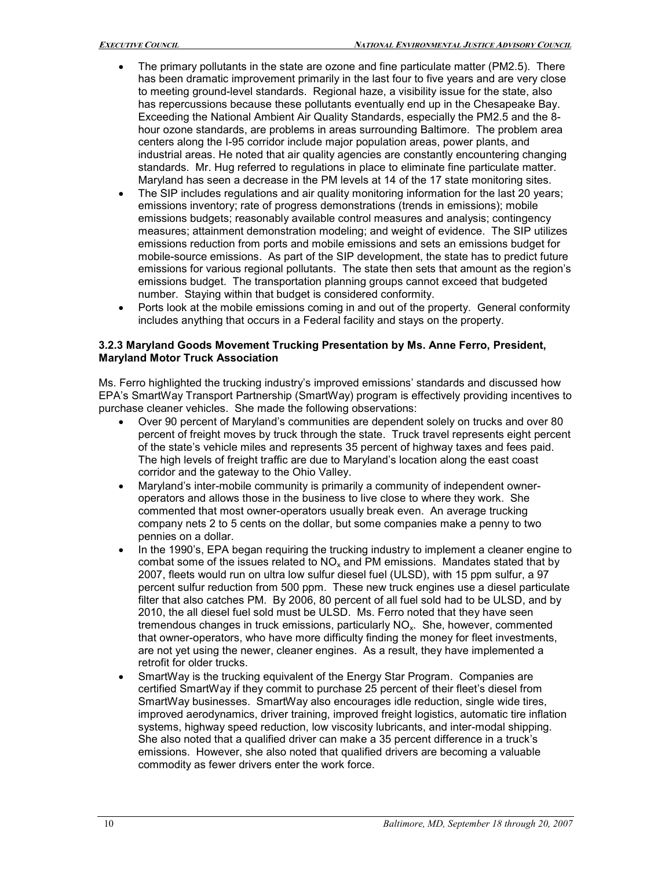- The primary pollutants in the state are ozone and fine particulate matter (PM2.5). There has been dramatic improvement primarily in the last four to five years and are very close to meeting ground-level standards. Regional haze, a visibility issue for the state, also has repercussions because these pollutants eventually end up in the Chesapeake Bay. Exceeding the National Ambient Air Quality Standards, especially the PM2.5 and the 8 hour ozone standards, are problems in areas surrounding Baltimore. The problem area centers along the I95 corridor include major population areas, power plants, and industrial areas. He noted that air quality agencies are constantly encountering changing standards. Mr. Hug referred to regulations in place to eliminate fine particulate matter. Maryland has seen a decrease in the PM levels at 14 of the 17 state monitoring sites.
- The SIP includes regulations and air quality monitoring information for the last 20 years; emissions inventory; rate of progress demonstrations (trends in emissions); mobile emissions budgets; reasonably available control measures and analysis; contingency measures; attainment demonstration modeling; and weight of evidence. The SIP utilizes emissions reduction from ports and mobile emissions and sets an emissions budget for mobile-source emissions. As part of the SIP development, the state has to predict future emissions for various regional pollutants. The state then sets that amount as the region's emissions budget. The transportation planning groups cannot exceed that budgeted number. Staying within that budget is considered conformity.
- Ports look at the mobile emissions coming in and out of the property. General conformity includes anything that occurs in a Federal facility and stays on the property.

#### **3.2.3 Maryland Goods Movement Trucking Presentation by Ms. Anne Ferro, President, Maryland Motor Truck Association**

Ms. Ferro highlighted the trucking industry's improved emissions' standards and discussed how EPA's SmartWay Transport Partnership (SmartWay) program is effectively providing incentives to purchase cleaner vehicles. She made the following observations:

- Over 90 percent of Maryland's communities are dependent solely on trucks and over 80 percent of freight moves by truck through the state. Truck travel represents eight percent of the state's vehicle miles and represents 35 percent of highway taxes and fees paid. The high levels of freight traffic are due to Maryland's location along the east coast corridor and the gateway to the Ohio Valley.
- Maryland's inter-mobile community is primarily a community of independent owneroperators and allows those in the business to live close to where they work. She commented that most owner-operators usually break even. An average trucking company nets 2 to 5 cents on the dollar, but some companies make a penny to two pennies on a dollar.
- In the 1990's, EPA began requiring the trucking industry to implement a cleaner engine to combat some of the issues related to  $NO<sub>x</sub>$  and PM emissions. Mandates stated that by 2007, fleets would run on ultra low sulfur diesel fuel (ULSD), with 15 ppm sulfur, a 97 percent sulfur reduction from 500 ppm. These new truck engines use a diesel particulate filter that also catches PM. By 2006, 80 percent of all fuel sold had to be ULSD, and by 2010, the all diesel fuel sold must be ULSD. Ms. Ferro noted that they have seen tremendous changes in truck emissions, particularly NOx. She, however, commented that owner-operators, who have more difficulty finding the money for fleet investments, are not yet using the newer, cleaner engines. As a result, they have implemented a retrofit for older trucks.
- SmartWay is the trucking equivalent of the Energy Star Program. Companies are certified SmartWay if they commit to purchase 25 percent of their fleet's diesel from SmartWay businesses. SmartWay also encourages idle reduction, single wide tires, improved aerodynamics, driver training, improved freight logistics, automatic tire inflation systems, highway speed reduction, low viscosity lubricants, and inter-modal shipping. She also noted that a qualified driver can make a 35 percent difference in a truck's emissions. However, she also noted that qualified drivers are becoming a valuable commodity as fewer drivers enter the work force.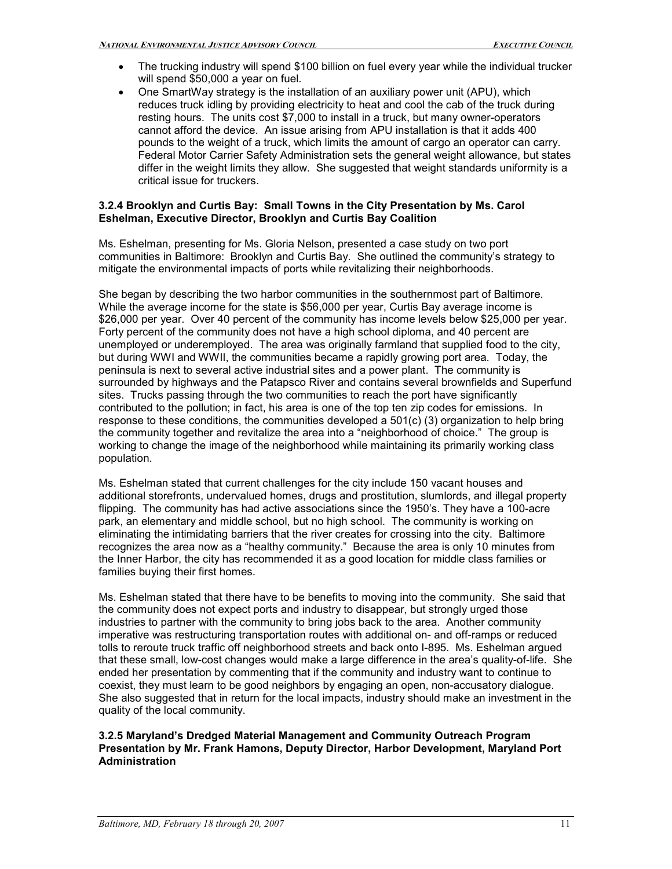- The trucking industry will spend \$100 billion on fuel every year while the individual trucker will spend \$50,000 a year on fuel.
- One SmartWay strategy is the installation of an auxiliary power unit (APU), which reduces truck idling by providing electricity to heat and cool the cab of the truck during resting hours. The units cost \$7,000 to install in a truck, but many owner-operators cannot afford the device. An issue arising from APU installation is that it adds 400 pounds to the weight of a truck, which limits the amount of cargo an operator can carry. Federal Motor Carrier Safety Administration sets the general weight allowance, but states differ in the weight limits they allow. She suggested that weight standards uniformity is a critical issue for truckers.

#### **3.2.4 Brooklyn and Curtis Bay: Small Towns in the City Presentation by Ms. Carol Eshelman, Executive Director, Brooklyn and Curtis Bay Coalition**

Ms. Eshelman, presenting for Ms. Gloria Nelson, presented a case study on two port communities in Baltimore: Brooklyn and Curtis Bay. She outlined the community's strategy to mitigate the environmental impacts of ports while revitalizing their neighborhoods.

She began by describing the two harbor communities in the southernmost part of Baltimore. While the average income for the state is \$56,000 per year, Curtis Bay average income is \$26,000 per year. Over 40 percent of the community has income levels below \$25,000 per year. Forty percent of the community does not have a high school diploma, and 40 percent are unemployed or underemployed. The area was originally farmland that supplied food to the city, but during WWI and WWII, the communities became a rapidly growing port area. Today, the peninsula is next to several active industrial sites and a power plant. The community is surrounded by highways and the Patapsco River and contains several brownfields and Superfund sites. Trucks passing through the two communities to reach the port have significantly contributed to the pollution; in fact, his area is one of the top ten zip codes for emissions. In response to these conditions, the communities developed a 501(c) (3) organization to help bring the community together and revitalize the area into a "neighborhood of choice." The group is working to change the image of the neighborhood while maintaining its primarily working class population.

Ms. Eshelman stated that current challenges for the city include 150 vacant houses and additional storefronts, undervalued homes, drugs and prostitution, slumlords, and illegal property flipping. The community has had active associations since the 1950's. They have a 100-acre park, an elementary and middle school, but no high school. The community is working on eliminating the intimidating barriers that the river creates for crossing into the city. Baltimore recognizes the area now as a "healthy community." Because the area is only 10 minutes from the Inner Harbor, the city has recommended it as a good location for middle class families or families buying their first homes.

Ms. Eshelman stated that there have to be benefits to moving into the community. She said that the community does not expect ports and industry to disappear, but strongly urged those industries to partner with the community to bring jobs back to the area. Another community imperative was restructuring transportation routes with additional on- and off-ramps or reduced tolls to reroute truck traffic off neighborhood streets and back onto I-895. Ms. Eshelman argued that these small, low-cost changes would make a large difference in the area's quality-of-life. She ended her presentation by commenting that if the community and industry want to continue to coexist, they must learn to be good neighbors by engaging an open, non-accusatory dialogue. She also suggested that in return for the local impacts, industry should make an investment in the quality of the local community.

#### **3.2.5 Maryland's Dredged Material Management and Community Outreach Program Presentation by Mr. Frank Hamons, Deputy Director, Harbor Development, Maryland Port Administration**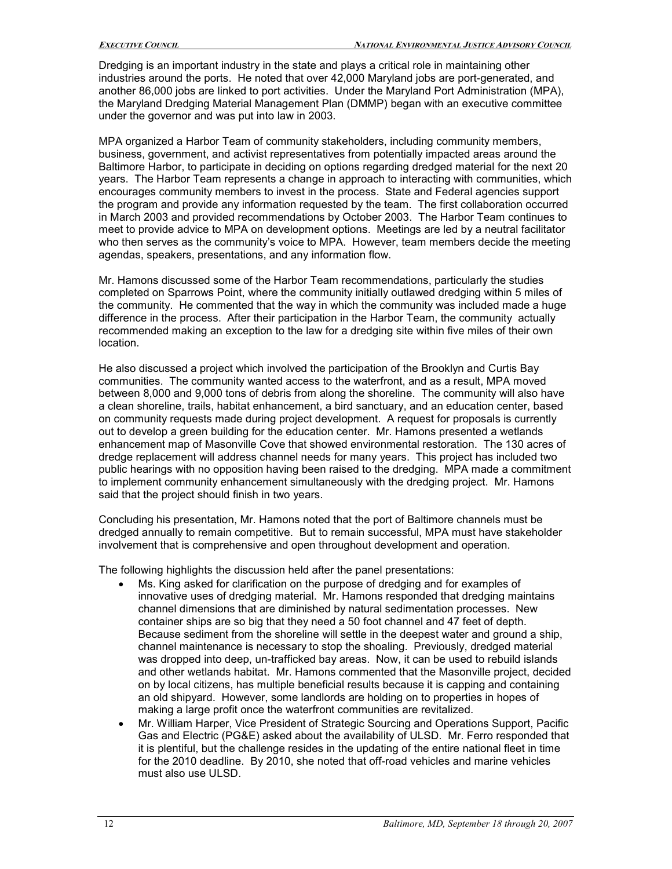Dredging is an important industry in the state and plays a critical role in maintaining other industries around the ports. He noted that over 42,000 Maryland jobs are port-generated, and another 86,000 jobs are linked to port activities. Under the Maryland Port Administration (MPA), the Maryland Dredging Material Management Plan (DMMP) began with an executive committee under the governor and was put into law in 2003.

MPA organized a Harbor Team of community stakeholders, including community members, business, government, and activist representatives from potentially impacted areas around the Baltimore Harbor, to participate in deciding on options regarding dredged material for the next 20 years. The Harbor Team represents a change in approach to interacting with communities, which encourages community members to invest in the process. State and Federal agencies support the program and provide any information requested by the team. The first collaboration occurred in March 2003 and provided recommendations by October 2003. The Harbor Team continues to meet to provide advice to MPA on development options. Meetings are led by a neutral facilitator who then serves as the community's voice to MPA. However, team members decide the meeting agendas, speakers, presentations, and any information flow.

Mr. Hamons discussed some of the Harbor Team recommendations, particularly the studies completed on Sparrows Point, where the community initially outlawed dredging within 5 miles of the community. He commented that the way in which the community was included made a huge difference in the process. After their participation in the Harbor Team, the community actually recommended making an exception to the law for a dredging site within five miles of their own location.

He also discussed a project which involved the participation of the Brooklyn and Curtis Bay communities. The community wanted access to the waterfront, and as a result, MPA moved between 8,000 and 9,000 tons of debris from along the shoreline. The community will also have a clean shoreline, trails, habitat enhancement, a bird sanctuary, and an education center, based on community requests made during project development. A request for proposals is currently out to develop a green building for the education center. Mr. Hamons presented a wetlands enhancement map of Masonville Cove that showed environmental restoration. The 130 acres of dredge replacement will address channel needs for many years. This project has included two public hearings with no opposition having been raised to the dredging. MPA made a commitment to implement community enhancement simultaneously with the dredging project. Mr. Hamons said that the project should finish in two years.

Concluding his presentation, Mr. Hamons noted that the port of Baltimore channels must be dredged annually to remain competitive. But to remain successful, MPA must have stakeholder involvement that is comprehensive and open throughout development and operation.

The following highlights the discussion held after the panel presentations:

- Ms. King asked for clarification on the purpose of dredging and for examples of innovative uses of dredging material. Mr. Hamons responded that dredging maintains channel dimensions that are diminished by natural sedimentation processes. New container ships are so big that they need a 50 foot channel and 47 feet of depth. Because sediment from the shoreline will settle in the deepest water and ground a ship, channel maintenance is necessary to stop the shoaling. Previously, dredged material was dropped into deep, un-trafficked bay areas. Now, it can be used to rebuild islands and other wetlands habitat. Mr. Hamons commented that the Masonville project, decided on by local citizens, has multiple beneficial results because it is capping and containing an old shipyard. However, some landlords are holding on to properties in hopes of making a large profit once the waterfront communities are revitalized.
- Mr. William Harper, Vice President of Strategic Sourcing and Operations Support, Pacific Gas and Electric (PG&E) asked about the availability of ULSD. Mr. Ferro responded that it is plentiful, but the challenge resides in the updating of the entire national fleet in time for the 2010 deadline. By 2010, she noted that off-road vehicles and marine vehicles must also use ULSD.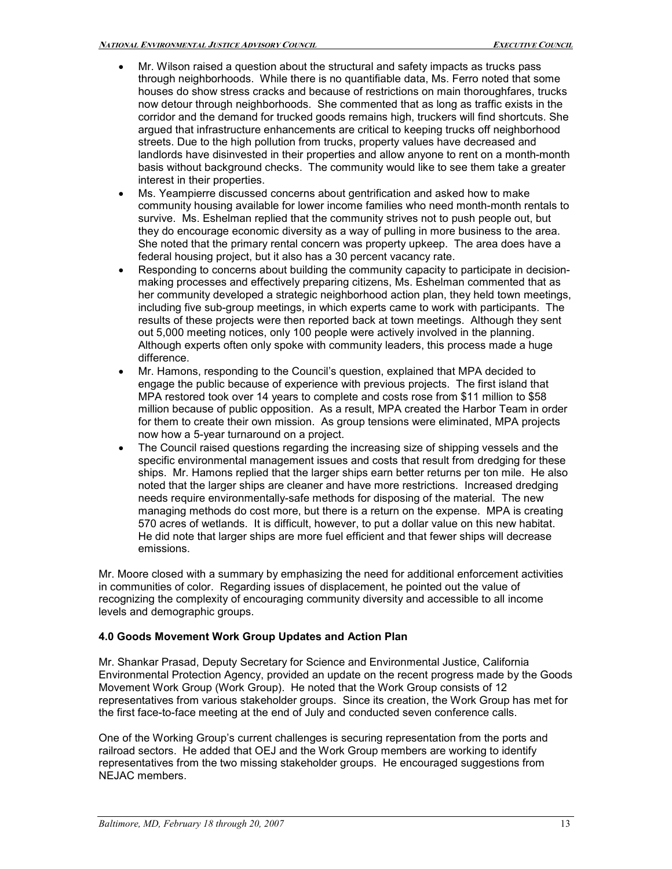- Mr. Wilson raised a question about the structural and safety impacts as trucks pass through neighborhoods. While there is no quantifiable data, Ms. Ferro noted that some houses do show stress cracks and because of restrictions on main thoroughfares, trucks now detour through neighborhoods. She commented that as long as traffic exists in the corridor and the demand for trucked goods remains high, truckers will find shortcuts. She argued that infrastructure enhancements are critical to keeping trucks off neighborhood streets. Due to the high pollution from trucks, property values have decreased and landlords have disinvested in their properties and allow anyone to rent on a month-month basis without background checks. The community would like to see them take a greater interest in their properties.
- Ms. Yeampierre discussed concerns about gentrification and asked how to make community housing available for lower income families who need month-month rentals to survive. Ms. Eshelman replied that the community strives not to push people out, but they do encourage economic diversity as a way of pulling in more business to the area. She noted that the primary rental concern was property upkeep. The area does have a federal housing project, but it also has a 30 percent vacancy rate.
- Responding to concerns about building the community capacity to participate in decisionmaking processes and effectively preparing citizens, Ms. Eshelman commented that as her community developed a strategic neighborhood action plan, they held town meetings, including five sub-group meetings, in which experts came to work with participants. The results of these projects were then reported back at town meetings. Although they sent out 5,000 meeting notices, only 100 people were actively involved in the planning. Although experts often only spoke with community leaders, this process made a huge difference.
- Mr. Hamons, responding to the Council's question, explained that MPA decided to engage the public because of experience with previous projects. The first island that MPA restored took over 14 years to complete and costs rose from \$11 million to \$58 million because of public opposition. As a result, MPA created the Harbor Team in order for them to create their own mission. As group tensions were eliminated, MPA projects now how a 5-year turnaround on a project.
- The Council raised questions regarding the increasing size of shipping vessels and the specific environmental management issues and costs that result from dredging for these ships. Mr. Hamons replied that the larger ships earn better returns per ton mile. He also noted that the larger ships are cleaner and have more restrictions. Increased dredging needs require environmentally-safe methods for disposing of the material. The new managing methods do cost more, but there is a return on the expense. MPA is creating 570 acres of wetlands. It is difficult, however, to put a dollar value on this new habitat. He did note that larger ships are more fuel efficient and that fewer ships will decrease emissions.

Mr. Moore closed with a summary by emphasizing the need for additional enforcement activities in communities of color. Regarding issues of displacement, he pointed out the value of recognizing the complexity of encouraging community diversity and accessible to all income levels and demographic groups.

### **4.0 Goods Movement Work Group Updates and Action Plan**

Mr. Shankar Prasad, Deputy Secretary for Science and Environmental Justice, California Environmental Protection Agency, provided an update on the recent progress made by the Goods Movement Work Group (Work Group). He noted that the Work Group consists of 12 representatives from various stakeholder groups. Since its creation, the Work Group has met for the first face-to-face meeting at the end of July and conducted seven conference calls.

One of the Working Group's current challenges is securing representation from the ports and railroad sectors. He added that OEJ and the Work Group members are working to identify representatives from the two missing stakeholder groups. He encouraged suggestions from NEJAC members.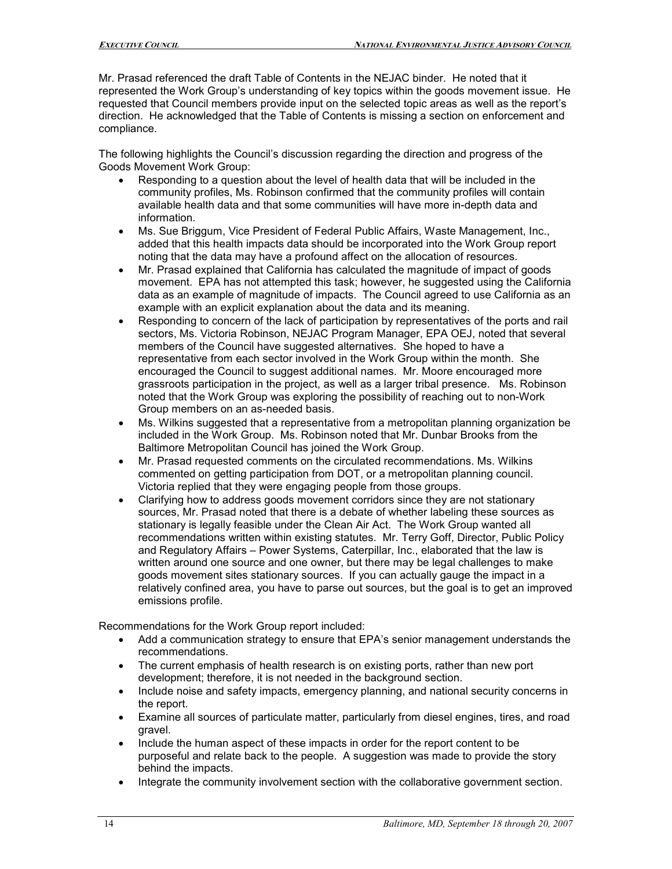Mr. Prasad referenced the draft Table of Contents in the NEJAC binder. He noted that it represented the Work Group's understanding of key topics within the goods movement issue. He requested that Council members provide input on the selected topic areas as well as the report's direction. He acknowledged that the Table of Contents is missing a section on enforcement and compliance.

The following highlights the Council's discussion regarding the direction and progress of the Goods Movement Work Group:

- Responding to a question about the level of health data that will be included in the community profiles, Ms. Robinson confirmed that the community profiles will contain available health data and that some communities will have more in-depth data and information.
- Ms. Sue Briggum, Vice President of Federal Public Affairs, Waste Management, Inc., added that this health impacts data should be incorporated into the Work Group report noting that the data may have a profound affect on the allocation of resources.
- Mr. Prasad explained that California has calculated the magnitude of impact of goods movement. EPA has not attempted this task; however, he suggested using the California data as an example of magnitude of impacts. The Council agreed to use California as an example with an explicit explanation about the data and its meaning.
- Responding to concern of the lack of participation by representatives of the ports and rail sectors, Ms. Victoria Robinson, NEJAC Program Manager, EPA OEJ, noted that several members of the Council have suggested alternatives. She hoped to have a representative from each sector involved in the Work Group within the month. She encouraged the Council to suggest additional names. Mr. Moore encouraged more grassroots participation in the project, as well as a larger tribal presence. Ms. Robinson noted that the Work Group was exploring the possibility of reaching out to non-Work Group members on an as-needed basis.
- Ms. Wilkins suggested that a representative from a metropolitan planning organization be included in the Work Group. Ms. Robinson noted that Mr. Dunbar Brooks from the Baltimore Metropolitan Council has joined the Work Group.
- Mr. Prasad requested comments on the circulated recommendations. Ms. Wilkins commented on getting participation from DOT, or a metropolitan planning council. Victoria replied that they were engaging people from those groups.
- Clarifying how to address goods movement corridors since they are not stationary sources, Mr. Prasad noted that there is a debate of whether labeling these sources as stationary is legally feasible under the Clean Air Act. The Work Group wanted all recommendations written within existing statutes. Mr. Terry Goff, Director, Public Policy and Regulatory Affairs – Power Systems, Caterpillar, Inc., elaborated that the law is written around one source and one owner, but there may be legal challenges to make goods movement sites stationary sources. If you can actually gauge the impact in a relatively confined area, you have to parse out sources, but the goal is to get an improved emissions profile.

Recommendations for the Work Group report included:

- Add a communication strategy to ensure that EPA's senior management understands the recommendations.
- The current emphasis of health research is on existing ports, rather than new port development; therefore, it is not needed in the background section.
- Include noise and safety impacts, emergency planning, and national security concerns in the report.
- Examine all sources of particulate matter, particularly from diesel engines, tires, and road gravel.
- Include the human aspect of these impacts in order for the report content to be purposeful and relate back to the people. A suggestion was made to provide the story behind the impacts.
- Integrate the community involvement section with the collaborative government section.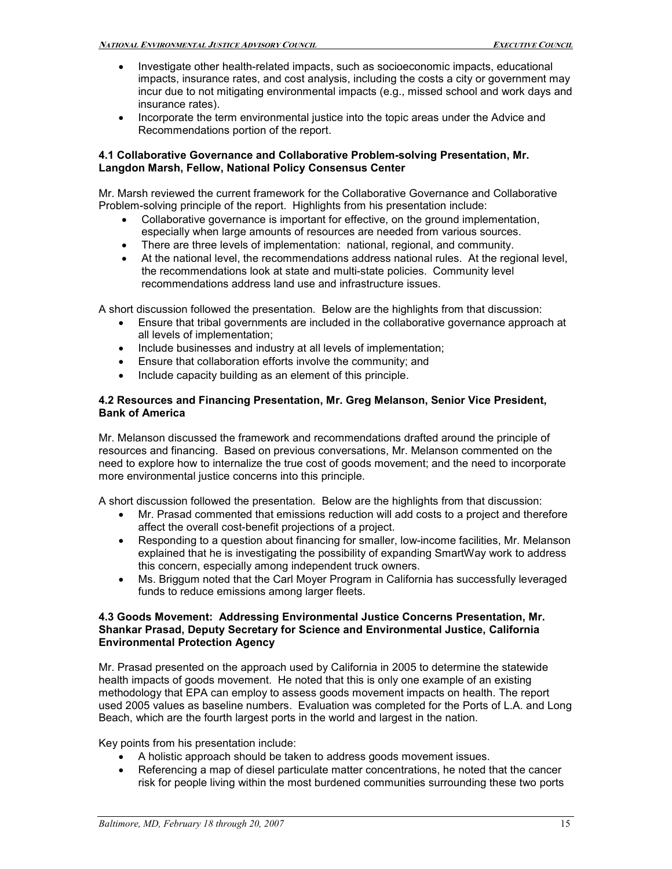- Investigate other health-related impacts, such as socioeconomic impacts, educational impacts, insurance rates, and cost analysis, including the costs a city or government may incur due to not mitigating environmental impacts (e.g., missed school and work days and insurance rates).
- Incorporate the term environmental justice into the topic areas under the Advice and Recommendations portion of the report.

#### **4.1 Collaborative Governance and Collaborative Problemsolving Presentation, Mr. Langdon Marsh, Fellow, National Policy Consensus Center**

Mr. Marsh reviewed the current framework for the Collaborative Governance and Collaborative Problem-solving principle of the report. Highlights from his presentation include:

- Collaborative governance is important for effective, on the ground implementation, especially when large amounts of resources are needed from various sources.
- There are three levels of implementation: national, regional, and community.
- At the national level, the recommendations address national rules. At the regional level, the recommendations look at state and multi-state policies. Community level recommendations address land use and infrastructure issues.

A short discussion followed the presentation. Below are the highlights from that discussion:

- Ensure that tribal governments are included in the collaborative governance approach at all levels of implementation;
- Include businesses and industry at all levels of implementation;
- Ensure that collaboration efforts involve the community; and
- Include capacity building as an element of this principle.

#### **4.2 Resources and Financing Presentation, Mr. Greg Melanson, Senior Vice President, Bank of America**

Mr. Melanson discussed the framework and recommendations drafted around the principle of resources and financing. Based on previous conversations, Mr. Melanson commented on the need to explore how to internalize the true cost of goods movement; and the need to incorporate more environmental justice concerns into this principle.

A short discussion followed the presentation. Below are the highlights from that discussion:

- Mr. Prasad commented that emissions reduction will add costs to a project and therefore affect the overall cost-benefit projections of a project.
- Responding to a question about financing for smaller, low-income facilities, Mr. Melanson explained that he is investigating the possibility of expanding SmartWay work to address this concern, especially among independent truck owners.
- Ms. Briggum noted that the Carl Moyer Program in California has successfully leveraged funds to reduce emissions among larger fleets.

#### **4.3 Goods Movement: Addressing Environmental Justice Concerns Presentation, Mr. Shankar Prasad, Deputy Secretary for Science and Environmental Justice, California Environmental Protection Agency**

Mr. Prasad presented on the approach used by California in 2005 to determine the statewide health impacts of goods movement. He noted that this is only one example of an existing methodology that EPA can employ to assess goods movement impacts on health. The report used 2005 values as baseline numbers. Evaluation was completed for the Ports of L.A. and Long Beach, which are the fourth largest ports in the world and largest in the nation.

Key points from his presentation include:

- A holistic approach should be taken to address goods movement issues.
- Referencing a map of diesel particulate matter concentrations, he noted that the cancer risk for people living within the most burdened communities surrounding these two ports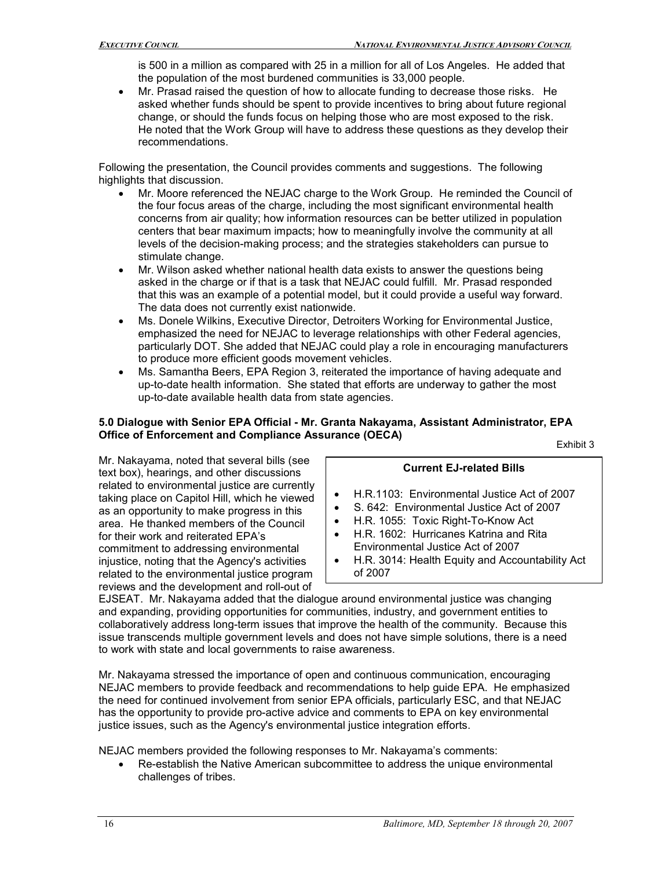is 500 in a million as compared with 25 in a million for all of Los Angeles. He added that the population of the most burdened communities is 33,000 people.

• Mr. Prasad raised the question of how to allocate funding to decrease those risks. He asked whether funds should be spent to provide incentives to bring about future regional change, or should the funds focus on helping those who are most exposed to the risk. He noted that the Work Group will have to address these questions as they develop their recommendations.

Following the presentation, the Council provides comments and suggestions. The following highlights that discussion.

- Mr. Moore referenced the NEJAC charge to the Work Group. He reminded the Council of the four focus areas of the charge, including the most significant environmental health concerns from air quality; how information resources can be better utilized in population centers that bear maximum impacts; how to meaningfully involve the community at all levels of the decision-making process; and the strategies stakeholders can pursue to stimulate change.
- Mr. Wilson asked whether national health data exists to answer the questions being asked in the charge or if that is a task that NEJAC could fulfill. Mr. Prasad responded that this was an example of a potential model, but it could provide a useful way forward. The data does not currently exist nationwide.
- Ms. Donele Wilkins, Executive Director, Detroiters Working for Environmental Justice, emphasized the need for NEJAC to leverage relationships with other Federal agencies, particularly DOT. She added that NEJAC could play a role in encouraging manufacturers to produce more efficient goods movement vehicles.
- Ms. Samantha Beers, EPA Region 3, reiterated the importance of having adequate and up-to-date health information. She stated that efforts are underway to gather the most up-to-date available health data from state agencies.

# **5.0 Dialogue with Senior EPA Official Mr. Granta Nakayama, Assistant Administrator, EPA Office of Enforcement and Compliance Assurance (OECA)** Exhibit 3

Mr. Nakayama, noted that several bills (see<br>text box), hearings, and other discussions<br>related to environmental justice are currently related to environmental justice are currently<br>taking place on Capitol Hill, which he viewed<br>see an opportunity to make progress in this<br> $\begin{array}{r} \bullet \quad \text{H.R.1103:}\end{array}$  Environmental Justice Act of 2007 as an opportunity to make progress in this • S. 642: Environmental Justice Act of <sup>2007</sup> area. He thanked members of the Council for their work and reiterated EPA's **•** H.R. 1602: Hurricanes Katrina and Rita commitment to addressing environmental **Format** Environmental Justice Act of 2007 commitment to addressing environmental<br>injustice, noting that the Agency's activities related to the environmental justice program reviews and the development and roll-out of

- 
- 
- 
- 
- H.R. 3014: Health Equity and Accountability Act of 2007

EJSEAT. Mr. Nakayama added that the dialogue around environmental justice was changing and expanding, providing opportunities for communities, industry, and government entities to collaboratively address long-term issues that improve the health of the community. Because this issue transcends multiple government levels and does not have simple solutions, there is a need to work with state and local governments to raise awareness.

Mr. Nakayama stressed the importance of open and continuous communication, encouraging NEJAC members to provide feedback and recommendations to help guide EPA. He emphasized the need for continued involvement from senior EPA officials, particularly ESC, and that NEJAC has the opportunity to provide pro-active advice and comments to EPA on key environmental justice issues, such as the Agency's environmental justice integration efforts.

NEJAC members provided the following responses to Mr. Nakayama's comments:

Re-establish the Native American subcommittee to address the unique environmental challenges of tribes.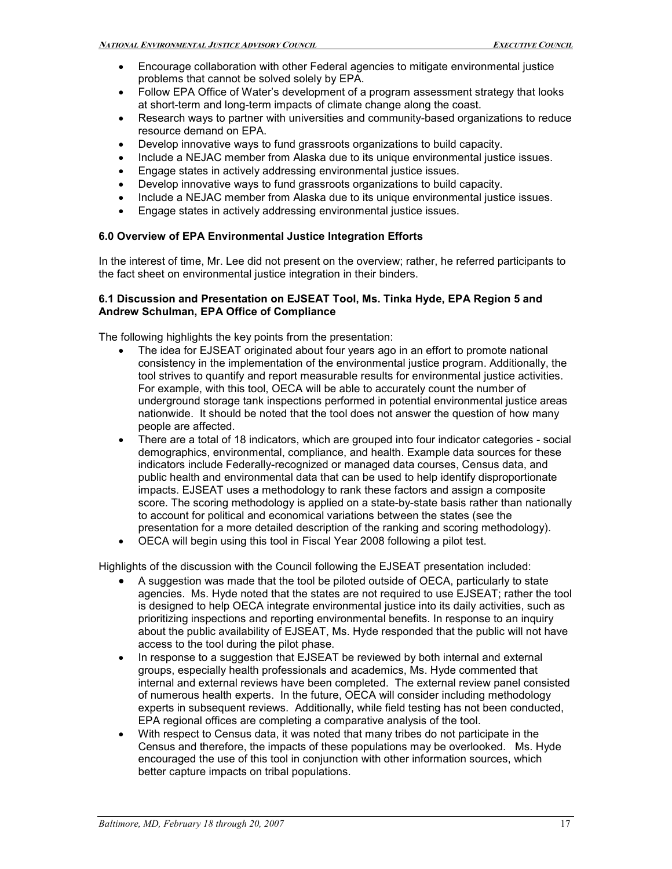- Encourage collaboration with other Federal agencies to mitigate environmental justice problems that cannot be solved solely by EPA.
- Follow EPA Office of Water's development of a program assessment strategy that looks at short-term and long-term impacts of climate change along the coast.
- Research ways to partner with universities and community-based organizations to reduce resource demand on EPA.
- Develop innovative ways to fund grassroots organizations to build capacity.
- Include a NEJAC member from Alaska due to its unique environmental justice issues.
- Engage states in actively addressing environmental justice issues.
- Develop innovative ways to fund grassroots organizations to build capacity.
- Include a NEJAC member from Alaska due to its unique environmental justice issues.
- Engage states in actively addressing environmental justice issues.

#### **6.0 Overview of EPA Environmental Justice Integration Efforts**

In the interest of time, Mr. Lee did not present on the overview; rather, he referred participants to the fact sheet on environmental justice integration in their binders.

#### **6.1 Discussion and Presentation on EJSEAT Tool, Ms. Tinka Hyde, EPA Region 5 and Andrew Schulman, EPA Office of Compliance**

The following highlights the key points from the presentation:

- The idea for EJSEAT originated about four years ago in an effort to promote national consistency in the implementation of the environmental justice program. Additionally, the tool strives to quantify and report measurable results for environmental justice activities. For example, with this tool, OECA will be able to accurately count the number of underground storage tank inspections performed in potential environmental justice areas nationwide. It should be noted that the tool does not answer the question of how many people are affected.
- There are a total of 18 indicators, which are grouped into four indicator categories social demographics, environmental, compliance, and health. Example data sources for these indicators include Federally-recognized or managed data courses, Census data, and public health and environmental data that can be used to help identify disproportionate impacts. EJSEAT uses a methodology to rank these factors and assign a composite score. The scoring methodology is applied on a state-by-state basis rather than nationally to account for political and economical variations between the states (see the presentation for a more detailed description of the ranking and scoring methodology).
- OECA will begin using this tool in Fiscal Year 2008 following a pilot test.

Highlights of the discussion with the Council following the EJSEAT presentation included:

- A suggestion was made that the tool be piloted outside of OECA, particularly to state agencies. Ms. Hyde noted that the states are not required to use EJSEAT; rather the tool is designed to help OECA integrate environmental justice into its daily activities, such as prioritizing inspections and reporting environmental benefits. In response to an inquiry about the public availability of EJSEAT, Ms. Hyde responded that the public will not have access to the tool during the pilot phase.
- In response to a suggestion that EJSEAT be reviewed by both internal and external groups, especially health professionals and academics, Ms. Hyde commented that internal and external reviews have been completed. The external review panel consisted of numerous health experts. In the future, OECA will consider including methodology experts in subsequent reviews. Additionally, while field testing has not been conducted, EPA regional offices are completing a comparative analysis of the tool.
- With respect to Census data, it was noted that many tribes do not participate in the Census and therefore, the impacts of these populations may be overlooked. Ms. Hyde encouraged the use of this tool in conjunction with other information sources, which better capture impacts on tribal populations.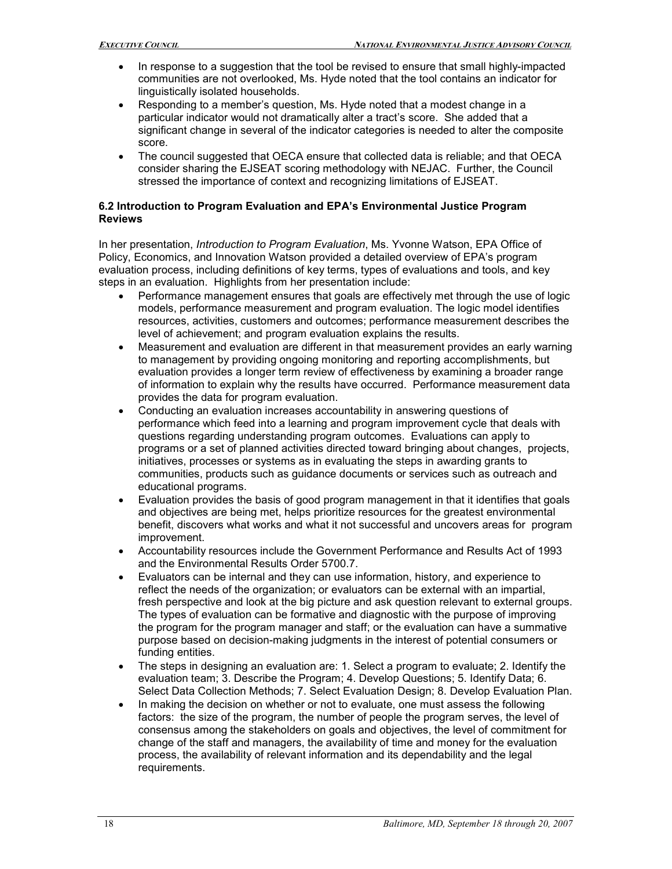- In response to a suggestion that the tool be revised to ensure that small highly-impacted communities are not overlooked, Ms. Hyde noted that the tool contains an indicator for linguistically isolated households.
- Responding to a member's question, Ms. Hyde noted that a modest change in a particular indicator would not dramatically alter a tract's score. She added that a significant change in several of the indicator categories is needed to alter the composite score.
- The council suggested that OECA ensure that collected data is reliable; and that OECA consider sharing the EJSEAT scoring methodology with NEJAC. Further, the Council stressed the importance of context and recognizing limitations of EJSEAT.

#### **6.2 Introduction to Program Evaluation and EPA's Environmental Justice Program Reviews**

In her presentation, *Introduction to Program Evaluation*, Ms. Yvonne Watson, EPA Office of Policy, Economics, and Innovation Watson provided a detailed overview of EPA's program evaluation process, including definitions of key terms, types of evaluations and tools, and key steps in an evaluation. Highlights from her presentation include:

- Performance management ensures that goals are effectively met through the use of logic models, performance measurement and program evaluation. The logic model identifies resources, activities, customers and outcomes; performance measurement describes the level of achievement; and program evaluation explains the results.
- Measurement and evaluation are different in that measurement provides an early warning to management by providing ongoing monitoring and reporting accomplishments, but evaluation provides a longer term review of effectiveness by examining a broader range of information to explain why the results have occurred. Performance measurement data provides the data for program evaluation.
- Conducting an evaluation increases accountability in answering questions of performance which feed into a learning and program improvement cycle that deals with questions regarding understanding program outcomes. Evaluations can apply to programs or a set of planned activities directed toward bringing about changes, projects, initiatives, processes or systems as in evaluating the steps in awarding grants to communities, products such as guidance documents or services such as outreach and educational programs.
- Evaluation provides the basis of good program management in that it identifies that goals and objectives are being met, helps prioritize resources for the greatest environmental benefit, discovers what works and what it not successful and uncovers areas for program improvement.
- Accountability resources include the Government Performance and Results Act of 1993 and the Environmental Results Order 5700.7.
- Evaluators can be internal and they can use information, history, and experience to reflect the needs of the organization; or evaluators can be external with an impartial, fresh perspective and look at the big picture and ask question relevant to external groups. The types of evaluation can be formative and diagnostic with the purpose of improving the program for the program manager and staff; or the evaluation can have a summative purpose based on decision-making judgments in the interest of potential consumers or funding entities.
- The steps in designing an evaluation are: 1. Select a program to evaluate; 2. Identify the evaluation team; 3. Describe the Program; 4. Develop Questions; 5. Identify Data; 6. Select Data Collection Methods; 7. Select Evaluation Design; 8. Develop Evaluation Plan.
- In making the decision on whether or not to evaluate, one must assess the following factors: the size of the program, the number of people the program serves, the level of consensus among the stakeholders on goals and objectives, the level of commitment for change of the staff and managers, the availability of time and money for the evaluation process, the availability of relevant information and its dependability and the legal requirements.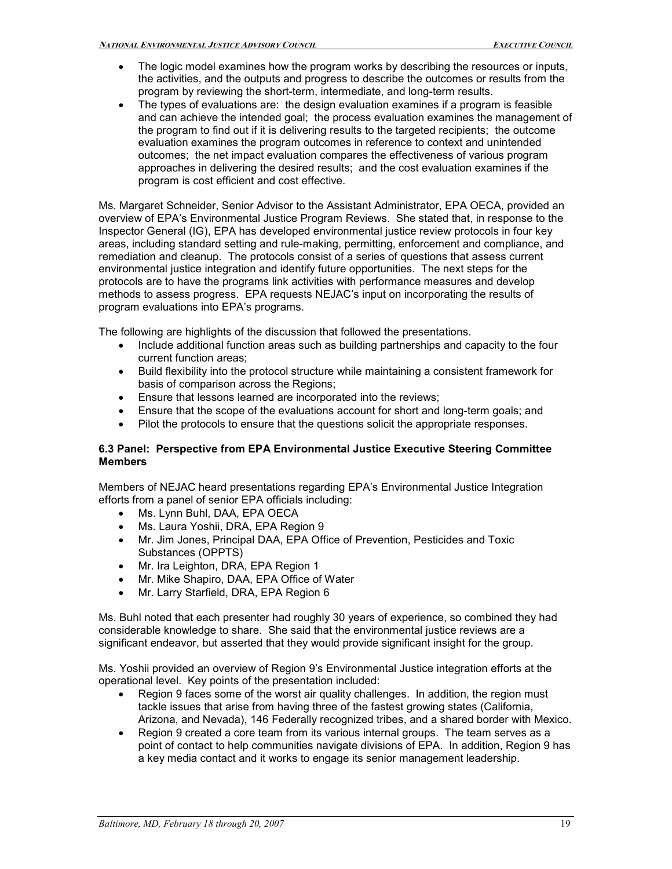- The logic model examines how the program works by describing the resources or inputs, the activities, and the outputs and progress to describe the outcomes or results from the program by reviewing the short-term, intermediate, and long-term results.
- The types of evaluations are: the design evaluation examines if a program is feasible and can achieve the intended goal; the process evaluation examines the management of the program to find out if it is delivering results to the targeted recipients; the outcome evaluation examines the program outcomes in reference to context and unintended outcomes; the net impact evaluation compares the effectiveness of various program approaches in delivering the desired results; and the cost evaluation examines if the program is cost efficient and cost effective.

Ms. Margaret Schneider, Senior Advisor to the Assistant Administrator, EPA OECA, provided an overview of EPA's Environmental Justice Program Reviews. She stated that, in response to the Inspector General (IG), EPA has developed environmental justice review protocols in four key areas, including standard setting and rule-making, permitting, enforcement and compliance, and remediation and cleanup. The protocols consist of a series of questions that assess current environmental justice integration and identify future opportunities. The next steps for the protocols are to have the programs link activities with performance measures and develop methods to assess progress. EPA requests NEJAC's input on incorporating the results of program evaluations into EPA's programs.

The following are highlights of the discussion that followed the presentations.

- Include additional function areas such as building partnerships and capacity to the four current function areas;
- Build flexibility into the protocol structure while maintaining a consistent framework for basis of comparison across the Regions;
- Ensure that lessons learned are incorporated into the reviews;
- Ensure that the scope of the evaluations account for short and long-term goals; and
- Pilot the protocols to ensure that the questions solicit the appropriate responses.

#### **6.3 Panel: Perspective from EPA Environmental Justice Executive Steering Committee Members**

Members of NEJAC heard presentations regarding EPA's Environmental Justice Integration efforts from a panel of senior EPA officials including:

- Ms. Lynn Buhl, DAA, EPA OECA
- Ms. Laura Yoshii, DRA, EPA Region 9
- Mr. Jim Jones, Principal DAA, EPA Office of Prevention, Pesticides and Toxic Substances (OPPTS)
- Mr. Ira Leighton, DRA, EPA Region 1
- Mr. Mike Shapiro, DAA, EPA Office of Water
- Mr. Larry Starfield, DRA, EPA Region 6

Ms. Buhl noted that each presenter had roughly 30 years of experience, so combined they had considerable knowledge to share. She said that the environmental justice reviews are a significant endeavor, but asserted that they would provide significant insight for the group.

Ms. Yoshii provided an overview of Region 9's Environmental Justice integration efforts at the operational level. Key points of the presentation included:

- Region 9 faces some of the worst air quality challenges. In addition, the region must tackle issues that arise from having three of the fastest growing states (California, Arizona, and Nevada), 146 Federally recognized tribes, and a shared border with Mexico.
- Region 9 created a core team from its various internal groups. The team serves as a point of contact to help communities navigate divisions of EPA. In addition, Region 9 has a key media contact and it works to engage its senior management leadership.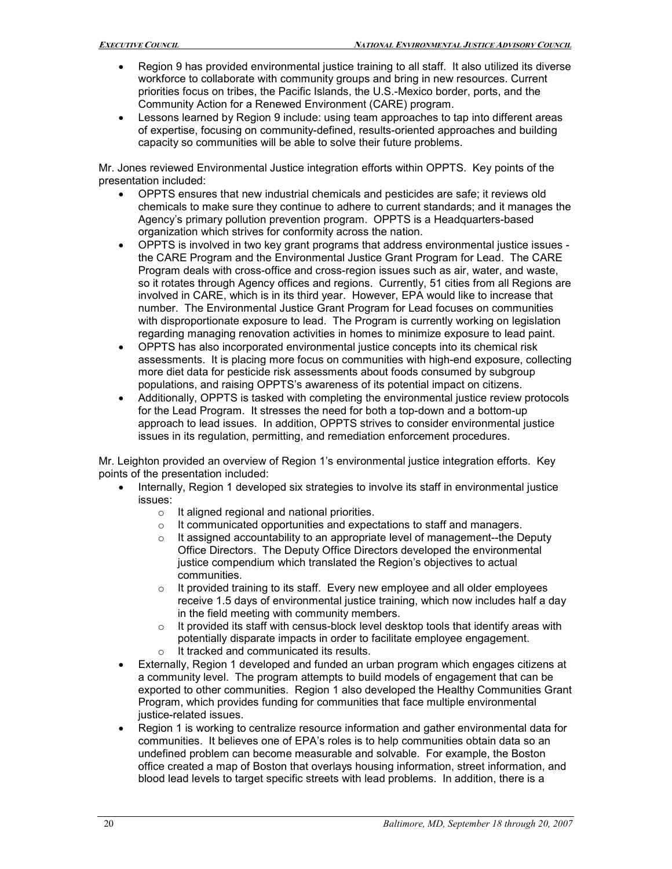- Region 9 has provided environmental justice training to all staff. It also utilized its diverse workforce to collaborate with community groups and bring in new resources. Current priorities focus on tribes, the Pacific Islands, the U.S.-Mexico border, ports, and the Community Action for a Renewed Environment (CARE) program.
- Lessons learned by Region 9 include: using team approaches to tap into different areas of expertise, focusing on community-defined, results-oriented approaches and building capacity so communities will be able to solve their future problems.

Mr. Jones reviewed Environmental Justice integration efforts within OPPTS. Key points of the presentation included:

- OPPTS ensures that new industrial chemicals and pesticides are safe; it reviews old chemicals to make sure they continue to adhere to current standards; and it manages the Agency's primary pollution prevention program. OPPTS is a Headquarters-based organization which strives for conformity across the nation.
- OPPTS is involved in two key grant programs that address environmental justice issues the CARE Program and the Environmental Justice Grant Program for Lead. The CARE Program deals with cross-office and cross-region issues such as air, water, and waste, so it rotates through Agency offices and regions. Currently, 51 cities from all Regions are involved in CARE, which is in its third year. However, EPA would like to increase that number. The Environmental Justice Grant Program for Lead focuses on communities with disproportionate exposure to lead. The Program is currently working on legislation regarding managing renovation activities in homes to minimize exposure to lead paint.
- OPPTS has also incorporated environmental justice concepts into its chemical risk assessments. It is placing more focus on communities with highend exposure, collecting more diet data for pesticide risk assessments about foods consumed by subgroup populations, and raising OPPTS's awareness of its potential impact on citizens.
- Additionally, OPPTS is tasked with completing the environmental justice review protocols for the Lead Program. It stresses the need for both a top-down and a bottom-up approach to lead issues. In addition, OPPTS strives to consider environmental justice issues in its regulation, permitting, and remediation enforcement procedures.

Mr. Leighton provided an overview of Region 1's environmental justice integration efforts. Key points of the presentation included:

- Internally, Region 1 developed six strategies to involve its staff in environmental justice issues:
	- o It aligned regional and national priorities.
	- o It communicated opportunities and expectations to staff and managers.
	- $\circ$  It assigned accountability to an appropriate level of management--the Deputy Office Directors. The Deputy Office Directors developed the environmental justice compendium which translated the Region's objectives to actual communities.
	- $\circ$  It provided training to its staff. Every new employee and all older employees receive 1.5 days of environmental justice training, which now includes half a day in the field meeting with community members.
	- $\circ$  It provided its staff with census-block level desktop tools that identify areas with potentially disparate impacts in order to facilitate employee engagement. o It tracked and communicated its results.
- Externally, Region 1 developed and funded an urban program which engages citizens at a community level. The program attempts to build models of engagement that can be exported to other communities. Region 1 also developed the Healthy Communities Grant Program, which provides funding for communities that face multiple environmental justice-related issues.
- Region 1 is working to centralize resource information and gather environmental data for communities. It believes one of EPA's roles is to help communities obtain data so an undefined problem can become measurable and solvable. For example, the Boston office created a map of Boston that overlays housing information, street information, and blood lead levels to target specific streets with lead problems. In addition, there is a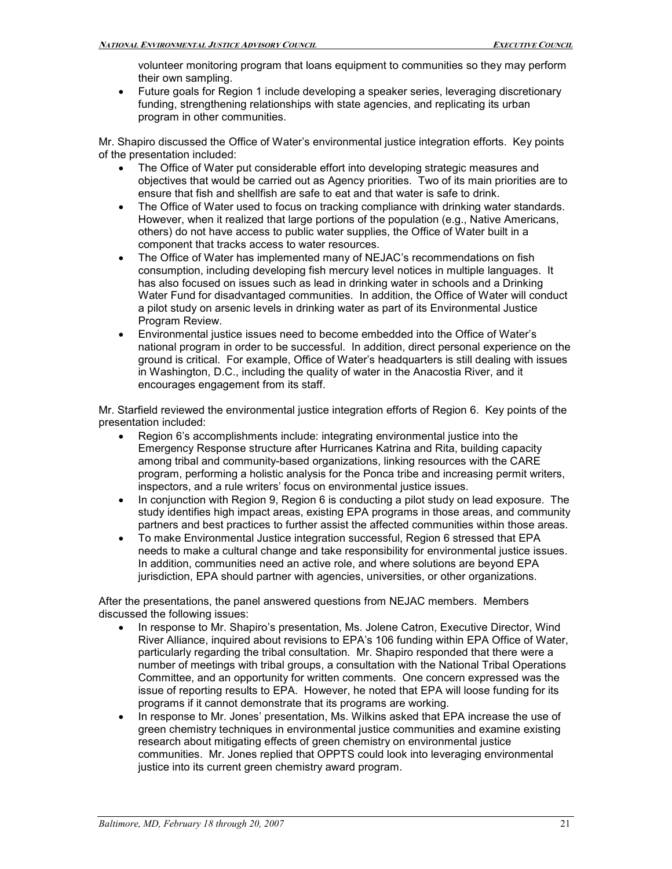volunteer monitoring program that loans equipment to communities so they may perform their own sampling.

• Future goals for Region 1 include developing a speaker series, leveraging discretionary funding, strengthening relationships with state agencies, and replicating its urban program in other communities.

Mr. Shapiro discussed the Office of Water's environmental justice integration efforts. Key points of the presentation included:

- The Office of Water put considerable effort into developing strategic measures and objectives that would be carried out as Agency priorities. Two of its main priorities are to ensure that fish and shellfish are safe to eat and that water is safe to drink.
- The Office of Water used to focus on tracking compliance with drinking water standards. However, when it realized that large portions of the population (e.g., Native Americans, others) do not have access to public water supplies, the Office of Water built in a component that tracks access to water resources.
- The Office of Water has implemented many of NEJAC's recommendations on fish consumption, including developing fish mercury level notices in multiple languages. It has also focused on issues such as lead in drinking water in schools and a Drinking Water Fund for disadvantaged communities. In addition, the Office of Water will conduct a pilot study on arsenic levels in drinking water as part of its Environmental Justice Program Review.
- Environmental justice issues need to become embedded into the Office of Water's national program in order to be successful. In addition, direct personal experience on the ground is critical. For example, Office of Water's headquarters is still dealing with issues in Washington, D.C., including the quality of water in the Anacostia River, and it encourages engagement from its staff.

Mr. Starfield reviewed the environmental justice integration efforts of Region 6. Key points of the presentation included:

- Region 6's accomplishments include: integrating environmental justice into the Emergency Response structure after Hurricanes Katrina and Rita, building capacity among tribal and community-based organizations, linking resources with the CARE program, performing a holistic analysis for the Ponca tribe and increasing permit writers, inspectors, and a rule writers' focus on environmental justice issues.
- In conjunction with Region 9, Region 6 is conducting a pilot study on lead exposure. The study identifies high impact areas, existing EPA programs in those areas, and community partners and best practices to further assist the affected communities within those areas.
- To make Environmental Justice integration successful, Region 6 stressed that EPA needs to make a cultural change and take responsibility for environmental justice issues. In addition, communities need an active role, and where solutions are beyond EPA jurisdiction, EPA should partner with agencies, universities, or other organizations.

After the presentations, the panel answered questions from NEJAC members. Members discussed the following issues:

- In response to Mr. Shapiro's presentation, Ms. Jolene Catron, Executive Director, Wind River Alliance, inquired about revisions to EPA's 106 funding within EPA Office of Water, particularly regarding the tribal consultation. Mr. Shapiro responded that there were a number of meetings with tribal groups, a consultation with the National Tribal Operations Committee, and an opportunity for written comments. One concern expressed was the issue of reporting results to EPA. However, he noted that EPA will loose funding for its programs if it cannot demonstrate that its programs are working.
- In response to Mr. Jones' presentation, Ms. Wilkins asked that EPA increase the use of green chemistry techniques in environmental justice communities and examine existing research about mitigating effects of green chemistry on environmental justice communities. Mr. Jones replied that OPPTS could look into leveraging environmental justice into its current green chemistry award program.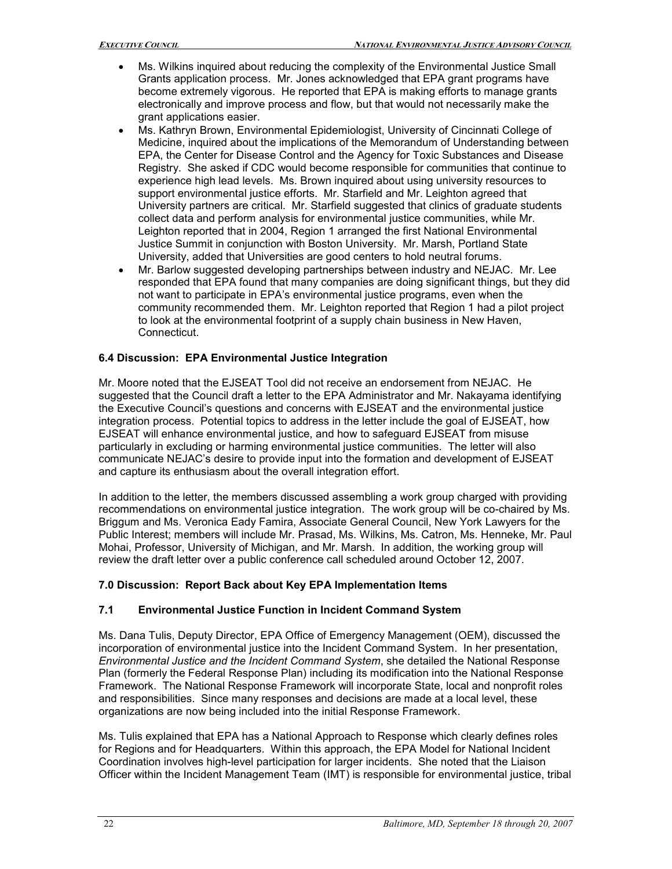- Ms. Wilkins inquired about reducing the complexity of the Environmental Justice Small Grants application process. Mr. Jones acknowledged that EPA grant programs have become extremely vigorous. He reported that EPA is making efforts to manage grants electronically and improve process and flow, but that would not necessarily make the grant applications easier.
- Ms. Kathryn Brown, Environmental Epidemiologist, University of Cincinnati College of Medicine, inquired about the implications of the Memorandum of Understanding between EPA, the Center for Disease Control and the Agency for Toxic Substances and Disease Registry. She asked if CDC would become responsible for communities that continue to experience high lead levels. Ms. Brown inquired about using university resources to support environmental justice efforts. Mr. Starfield and Mr. Leighton agreed that University partners are critical. Mr. Starfield suggested that clinics of graduate students collect data and perform analysis for environmental justice communities, while Mr. Leighton reported that in 2004, Region 1 arranged the first National Environmental Justice Summit in conjunction with Boston University. Mr. Marsh, Portland State University, added that Universities are good centers to hold neutral forums.
- Mr. Barlow suggested developing partnerships between industry and NEJAC. Mr. Lee responded that EPA found that many companies are doing significant things, but they did not want to participate in EPA's environmental justice programs, even when the community recommended them. Mr. Leighton reported that Region 1 had a pilot project to look at the environmental footprint of a supply chain business in New Haven, Connecticut.

# **6.4 Discussion: EPA Environmental Justice Integration**

Mr. Moore noted that the EJSEAT Tool did not receive an endorsement from NEJAC. He suggested that the Council draft a letter to the EPA Administrator and Mr. Nakayama identifying the Executive Council's questions and concerns with EJSEAT and the environmental justice integration process. Potential topics to address in the letter include the goal of EJSEAT, how EJSEAT will enhance environmental justice, and how to safeguard EJSEAT from misuse particularly in excluding or harming environmental justice communities. The letter will also communicate NEJAC's desire to provide input into the formation and development of EJSEAT and capture its enthusiasm about the overall integration effort.

In addition to the letter, the members discussed assembling a work group charged with providing recommendations on environmental justice integration. The work group will be co-chaired by Ms. Briggum and Ms. Veronica Eady Famira, Associate General Council, New York Lawyers for the Public Interest; members will include Mr. Prasad, Ms. Wilkins, Ms. Catron, Ms. Henneke, Mr. Paul Mohai, Professor, University of Michigan, and Mr. Marsh. In addition, the working group will review the draft letter over a public conference call scheduled around October 12, 2007.

# **7.0 Discussion: Report Back about Key EPA Implementation Items**

# **7.1 Environmental Justice Function in Incident Command System**

Ms. Dana Tulis, Deputy Director, EPA Office of Emergency Management (OEM), discussed the incorporation of environmental justice into the Incident Command System. In her presentation, *Environmental Justice and the Incident Command System*, she detailed the National Response Plan (formerly the Federal Response Plan) including its modification into the National Response Framework. The National Response Framework will incorporate State, local and nonprofit roles and responsibilities. Since many responses and decisions are made at a local level, these organizations are now being included into the initial Response Framework.

Ms. Tulis explained that EPA has a National Approach to Response which clearly defines roles for Regions and for Headquarters. Within this approach, the EPA Model for National Incident Coordination involves high-level participation for larger incidents. She noted that the Liaison Officer within the Incident Management Team (IMT) is responsible for environmental justice, tribal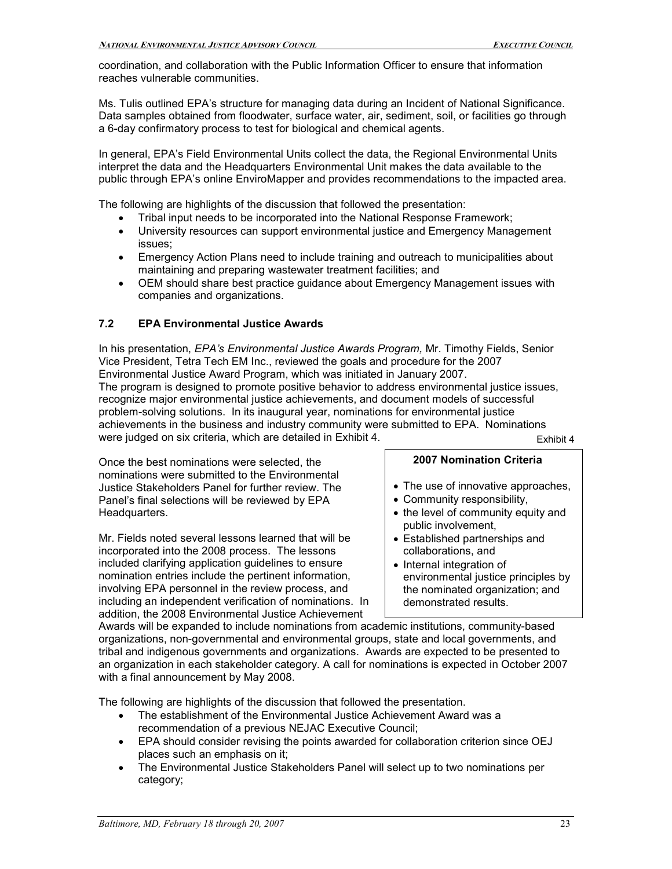coordination, and collaboration with the Public Information Officer to ensure that information reaches vulnerable communities.

Ms. Tulis outlined EPA's structure for managing data during an Incident of National Significance. Data samples obtained from floodwater, surface water, air, sediment, soil, or facilities go through a 6-day confirmatory process to test for biological and chemical agents.

In general, EPA's Field Environmental Units collect the data, the Regional Environmental Units interpret the data and the Headquarters Environmental Unit makes the data available to the public through EPA's online EnviroMapper and provides recommendations to the impacted area.

The following are highlights of the discussion that followed the presentation:

- Tribal input needs to be incorporated into the National Response Framework;
- University resources can support environmental justice and Emergency Management issues;
- Emergency Action Plans need to include training and outreach to municipalities about maintaining and preparing wastewater treatment facilities; and
- OEM should share best practice guidance about Emergency Management issues with companies and organizations.

# **7.2 EPA Environmental Justice Awards**

In his presentation, *EPA's Environmental Justice Awards Program,* Mr. Timothy Fields, Senior Vice President, Tetra Tech EM Inc., reviewed the goals and procedure for the 2007 Environmental Justice Award Program, which was initiated in January 2007. The program is designed to promote positive behavior to address environmental justice issues, recognize major environmental justice achievements, and document models of successful problem-solving solutions. In its inaugural year, nominations for environmental justice achievements in the business and industry community were submitted to EPA. Nominations were judged on six criteria, which are detailed in Exhibit 4. Exhibit 4.

Once the best nominations were selected, the **2007 Nomination Criteria** nominations were submitted to the Environmental Justice Stakeholders Panel for further review. The **Filte Stakeholders Panel's approaches**, Justice approaches, Panel's final selections will be reviewed by EPA Panel's final selections will be reviewed by EPA Headquarters. • the level of community equity and

Mr. Fields noted several lessons learned that will be  $\parallel \cdot \text{ Established partnerships and}$  incorporated into the 2008 process. The lessons incorporated into the 2008 process. The lessons included clarifying application guidelines to ensure  $\|\cdot\|$  Internal integration of nomination entries include the pertinent information,  $\parallel$  environmental justice principles by involving EPA personnel in the review process, and the nominated organization; and including an independent verification of nominations. In demonstrated results. including an independent verification of nominations. In addition, the 2008 Environmental Justice Achievement

- 
- 
- public involvement,
- 
- 

Awards will be expanded to include nominations from academic institutions, community-based organizations, non-governmental and environmental groups, state and local governments, and tribal and indigenous governments and organizations. Awards are expected to be presented to an organization in each stakeholder category. A call for nominations is expected in October 2007 with a final announcement by May 2008.

The following are highlights of the discussion that followed the presentation.

- The establishment of the Environmental Justice Achievement Award was a recommendation of a previous NEJAC Executive Council;
- EPA should consider revising the points awarded for collaboration criterion since OEJ places such an emphasis on it;
- The Environmental Justice Stakeholders Panel will select up to two nominations per category;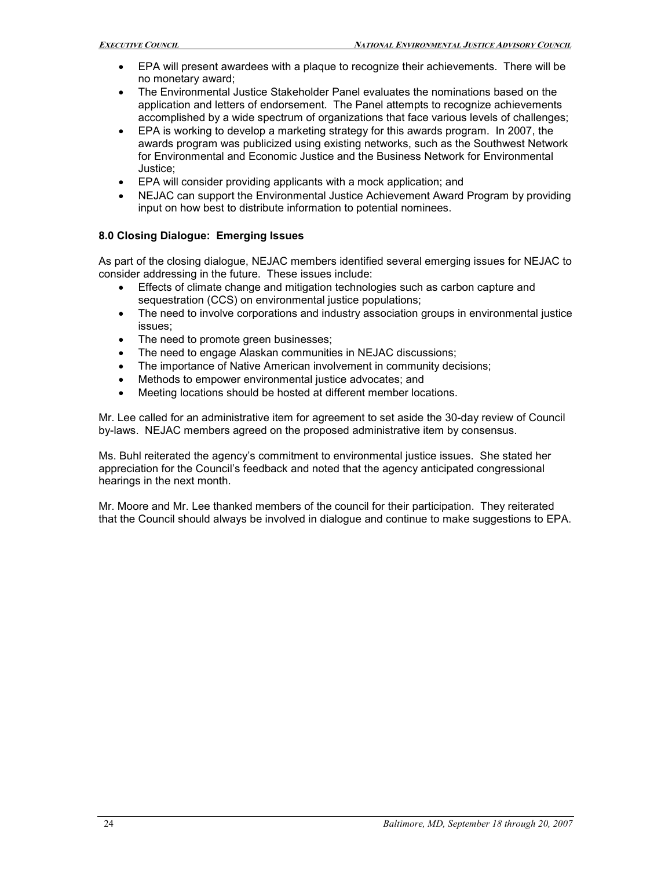- EPA will present awardees with a plaque to recognize their achievements. There will be no monetary award;
- The Environmental Justice Stakeholder Panel evaluates the nominations based on the application and letters of endorsement. The Panel attempts to recognize achievements accomplished by a wide spectrum of organizations that face various levels of challenges;
- EPA is working to develop a marketing strategy for this awards program. In 2007, the awards program was publicized using existing networks, such as the Southwest Network for Environmental and Economic Justice and the Business Network for Environmental Justice;
- EPA will consider providing applicants with a mock application; and
- NEJAC can support the Environmental Justice Achievement Award Program by providing input on how best to distribute information to potential nominees.

### **8.0 Closing Dialogue: Emerging Issues**

As part of the closing dialogue, NEJAC members identified several emerging issues for NEJAC to consider addressing in the future. These issues include:

- Effects of climate change and mitigation technologies such as carbon capture and sequestration (CCS) on environmental justice populations;
- The need to involve corporations and industry association groups in environmental justice issues;
- The need to promote green businesses;
- The need to engage Alaskan communities in NEJAC discussions;
- The importance of Native American involvement in community decisions;
- Methods to empower environmental justice advocates; and
- Meeting locations should be hosted at different member locations.

Mr. Lee called for an administrative item for agreement to set aside the 30-day review of Council bylaws. NEJAC members agreed on the proposed administrative item by consensus.

Ms. Buhl reiterated the agency's commitment to environmental justice issues. She stated her appreciation for the Council's feedback and noted that the agency anticipated congressional hearings in the next month.

Mr. Moore and Mr. Lee thanked members of the council for their participation. They reiterated that the Council should always be involved in dialogue and continue to make suggestions to EPA.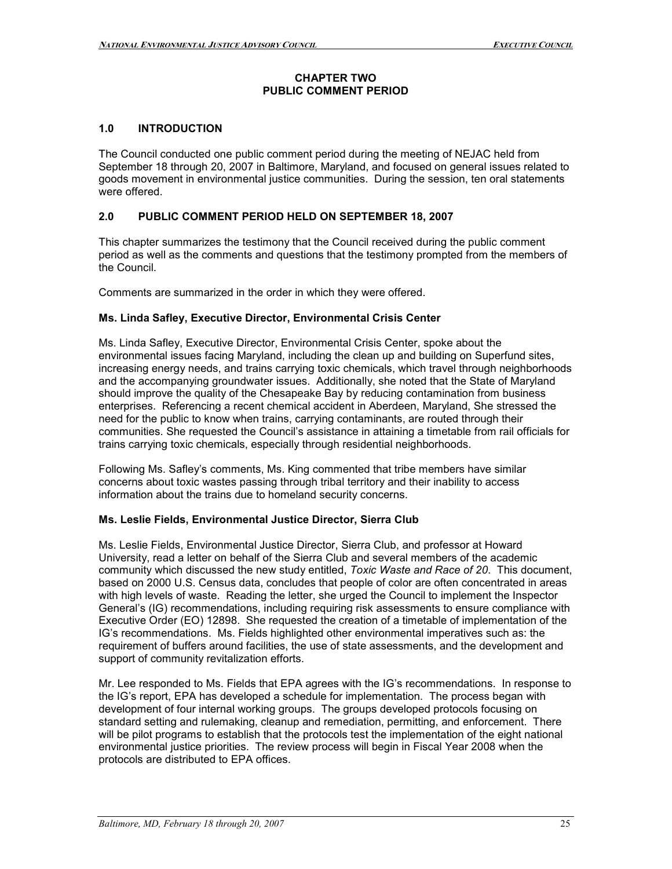#### **CHAPTER TWO PUBLIC COMMENT PERIOD**

## **1.0 INTRODUCTION**

The Council conducted one public comment period during the meeting of NEJAC held from September 18 through 20, 2007 in Baltimore, Maryland, and focused on general issues related to goods movement in environmental justice communities. During the session, ten oral statements were offered.

# **2.0 PUBLIC COMMENT PERIOD HELD ON SEPTEMBER 18, 2007**

This chapter summarizes the testimony that the Council received during the public comment period as well as the comments and questions that the testimony prompted from the members of the Council.

Comments are summarized in the order in which they were offered.

### **Ms. Linda Safley, Executive Director, Environmental Crisis Center**

Ms. Linda Safley, Executive Director, Environmental Crisis Center, spoke about the environmental issues facing Maryland, including the clean up and building on Superfund sites, increasing energy needs, and trains carrying toxic chemicals, which travel through neighborhoods and the accompanying groundwater issues. Additionally, she noted that the State of Maryland should improve the quality of the Chesapeake Bay by reducing contamination from business enterprises. Referencing a recent chemical accident in Aberdeen, Maryland, She stressed the need for the public to know when trains, carrying contaminants, are routed through their communities. She requested the Council's assistance in attaining a timetable from rail officials for trains carrying toxic chemicals, especially through residential neighborhoods.

Following Ms. Safley's comments, Ms. King commented that tribe members have similar concerns about toxic wastes passing through tribal territory and their inability to access information about the trains due to homeland security concerns.

### **Ms. Leslie Fields, Environmental Justice Director, Sierra Club**

Ms. Leslie Fields, Environmental Justice Director, Sierra Club, and professor at Howard University, read a letter on behalf of the Sierra Club and several members of the academic community which discussed the new study entitled, *Toxic Waste and Race of 20*. This document, based on 2000 U.S. Census data, concludes that people of color are often concentrated in areas with high levels of waste. Reading the letter, she urged the Council to implement the Inspector General's (IG) recommendations, including requiring risk assessments to ensure compliance with Executive Order (EO) 12898. She requested the creation of a timetable of implementation of the IG's recommendations. Ms. Fields highlighted other environmental imperatives such as: the requirement of buffers around facilities, the use of state assessments, and the development and support of community revitalization efforts.

Mr. Lee responded to Ms. Fields that EPA agrees with the IG's recommendations. In response to the IG's report, EPA has developed a schedule for implementation. The process began with development of four internal working groups. The groups developed protocols focusing on standard setting and rulemaking, cleanup and remediation, permitting, and enforcement. There will be pilot programs to establish that the protocols test the implementation of the eight national environmental justice priorities. The review process will begin in Fiscal Year 2008 when the protocols are distributed to EPA offices.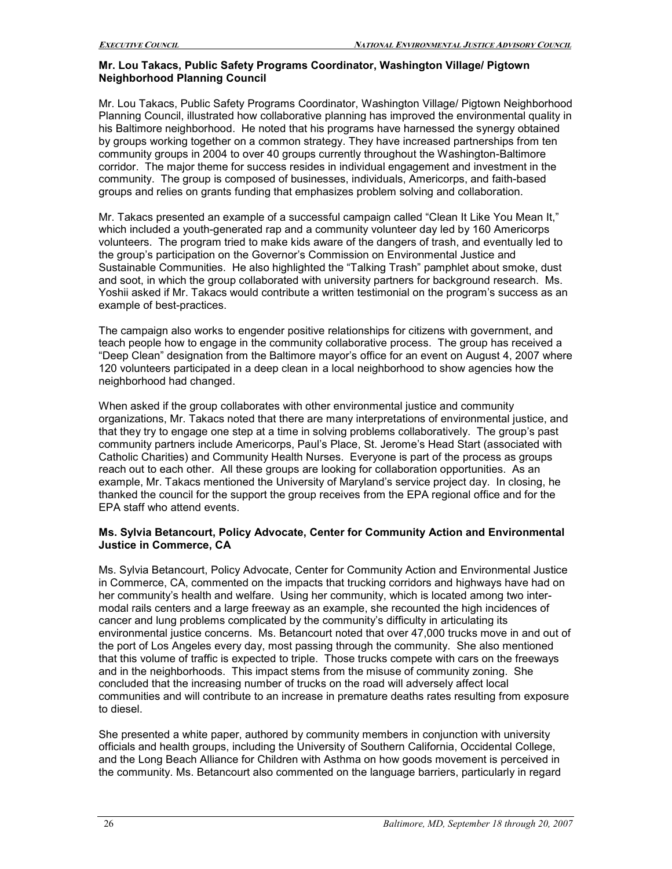#### **Mr. Lou Takacs, Public Safety Programs Coordinator, Washington Village/ Pigtown Neighborhood Planning Council**

Mr. Lou Takacs, Public Safety Programs Coordinator, Washington Village/ Pigtown Neighborhood Planning Council, illustrated how collaborative planning has improved the environmental quality in his Baltimore neighborhood. He noted that his programs have harnessed the synergy obtained by groups working together on a common strategy. They have increased partnerships from ten community groups in 2004 to over 40 groups currently throughout the Washington-Baltimore corridor. The major theme for success resides in individual engagement and investment in the community. The group is composed of businesses, individuals, Americorps, and faith-based groups and relies on grants funding that emphasizes problem solving and collaboration.

Mr. Takacs presented an example of a successful campaign called "Clean It Like You Mean It," which included a youth-generated rap and a community volunteer day led by 160 Americorps volunteers. The program tried to make kids aware of the dangers of trash, and eventually led to the group's participation on the Governor's Commission on Environmental Justice and Sustainable Communities. He also highlighted the "Talking Trash" pamphlet about smoke, dust and soot, in which the group collaborated with university partners for background research. Ms. Yoshii asked if Mr. Takacs would contribute a written testimonial on the program's success as an example of best-practices.

The campaign also works to engender positive relationships for citizens with government, and teach people how to engage in the community collaborative process. The group has received a "Deep Clean" designation from the Baltimore mayor's office for an event on August 4, 2007 where 120 volunteers participated in a deep clean in a local neighborhood to show agencies how the neighborhood had changed.

When asked if the group collaborates with other environmental justice and community organizations, Mr. Takacs noted that there are many interpretations of environmental justice, and that they try to engage one step at a time in solving problems collaboratively. The group's past community partners include Americorps, Paul's Place, St. Jerome's Head Start (associated with Catholic Charities) and Community Health Nurses. Everyone is part of the process as groups reach out to each other. All these groups are looking for collaboration opportunities. As an example, Mr. Takacs mentioned the University of Maryland's service project day. In closing, he thanked the council for the support the group receives from the EPA regional office and for the EPA staff who attend events.

#### **Ms. Sylvia Betancourt, Policy Advocate, Center for Community Action and Environmental Justice in Commerce, CA**

Ms. Sylvia Betancourt, Policy Advocate, Center for Community Action and Environmental Justice in Commerce, CA, commented on the impacts that trucking corridors and highways have had on her community's health and welfare. Using her community, which is located among two intermodal rails centers and a large freeway as an example, she recounted the high incidences of cancer and lung problems complicated by the community's difficulty in articulating its environmental justice concerns. Ms. Betancourt noted that over 47,000 trucks move in and out of the port of Los Angeles every day, most passing through the community. She also mentioned that this volume of traffic is expected to triple. Those trucks compete with cars on the freeways and in the neighborhoods. This impact stems from the misuse of community zoning. She concluded that the increasing number of trucks on the road will adversely affect local communities and will contribute to an increase in premature deaths rates resulting from exposure to diesel.

She presented a white paper, authored by community members in conjunction with university officials and health groups, including the University of Southern California, Occidental College, and the Long Beach Alliance for Children with Asthma on how goods movement is perceived in the community. Ms. Betancourt also commented on the language barriers, particularly in regard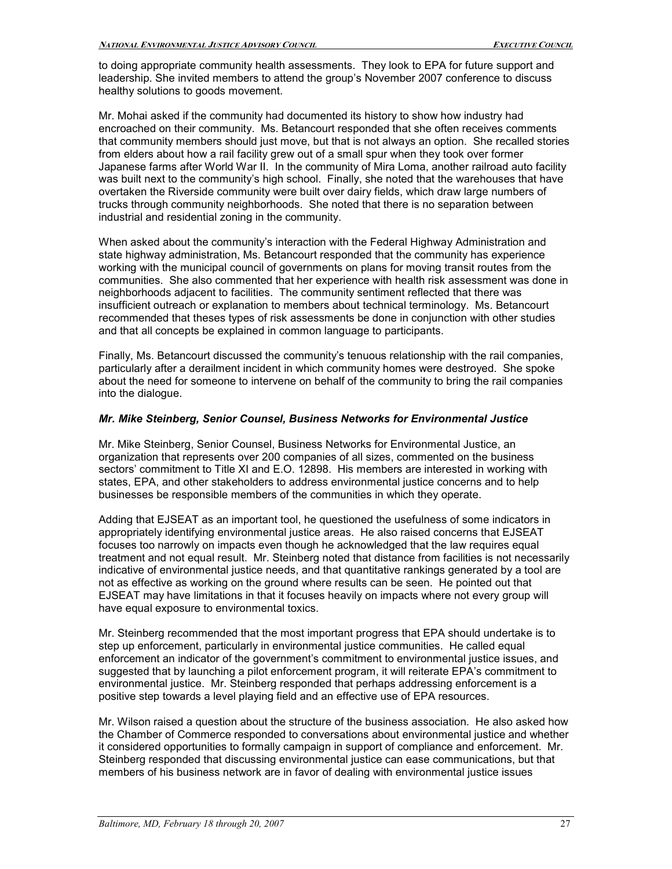to doing appropriate community health assessments. They look to EPA for future support and leadership. She invited members to attend the group's November 2007 conference to discuss healthy solutions to goods movement.

Mr. Mohai asked if the community had documented its history to show how industry had encroached on their community. Ms. Betancourt responded that she often receives comments that community members should just move, but that is not always an option. She recalled stories from elders about how a rail facility grew out of a small spur when they took over former Japanese farms after World War II. In the community of Mira Loma, another railroad auto facility was built next to the community's high school. Finally, she noted that the warehouses that have overtaken the Riverside community were built over dairy fields, which draw large numbers of trucks through community neighborhoods. She noted that there is no separation between industrial and residential zoning in the community.

When asked about the community's interaction with the Federal Highway Administration and state highway administration, Ms. Betancourt responded that the community has experience working with the municipal council of governments on plans for moving transit routes from the communities. She also commented that her experience with health risk assessment was done in neighborhoods adjacent to facilities. The community sentiment reflected that there was insufficient outreach or explanation to members about technical terminology. Ms. Betancourt recommended that theses types of risk assessments be done in conjunction with other studies and that all concepts be explained in common language to participants.

Finally, Ms. Betancourt discussed the community's tenuous relationship with the rail companies, particularly after a derailment incident in which community homes were destroyed. She spoke about the need for someone to intervene on behalf of the community to bring the rail companies into the dialogue.

### *Mr. Mike Steinberg, Senior Counsel, Business Networks for Environmental Justice*

Mr. Mike Steinberg, Senior Counsel, Business Networks for Environmental Justice, an organization that represents over 200 companies of all sizes, commented on the business sectors' commitment to Title XI and E.O. 12898. His members are interested in working with states, EPA, and other stakeholders to address environmental justice concerns and to help businesses be responsible members of the communities in which they operate.

Adding that EJSEAT as an important tool, he questioned the usefulness of some indicators in appropriately identifying environmental justice areas. He also raised concerns that EJSEAT focuses too narrowly on impacts even though he acknowledged that the law requires equal treatment and not equal result. Mr. Steinberg noted that distance from facilities is not necessarily indicative of environmental justice needs, and that quantitative rankings generated by a tool are not as effective as working on the ground where results can be seen. He pointed out that EJSEAT may have limitations in that it focuses heavily on impacts where not every group will have equal exposure to environmental toxics.

Mr. Steinberg recommended that the most important progress that EPA should undertake is to step up enforcement, particularly in environmental justice communities. He called equal enforcement an indicator of the government's commitment to environmental justice issues, and suggested that by launching a pilot enforcement program, it will reiterate EPA's commitment to environmental justice. Mr. Steinberg responded that perhaps addressing enforcement is a positive step towards a level playing field and an effective use of EPA resources.

Mr. Wilson raised a question about the structure of the business association. He also asked how the Chamber of Commerce responded to conversations about environmental justice and whether it considered opportunities to formally campaign in support of compliance and enforcement. Mr. Steinberg responded that discussing environmental justice can ease communications, but that members of his business network are in favor of dealing with environmental justice issues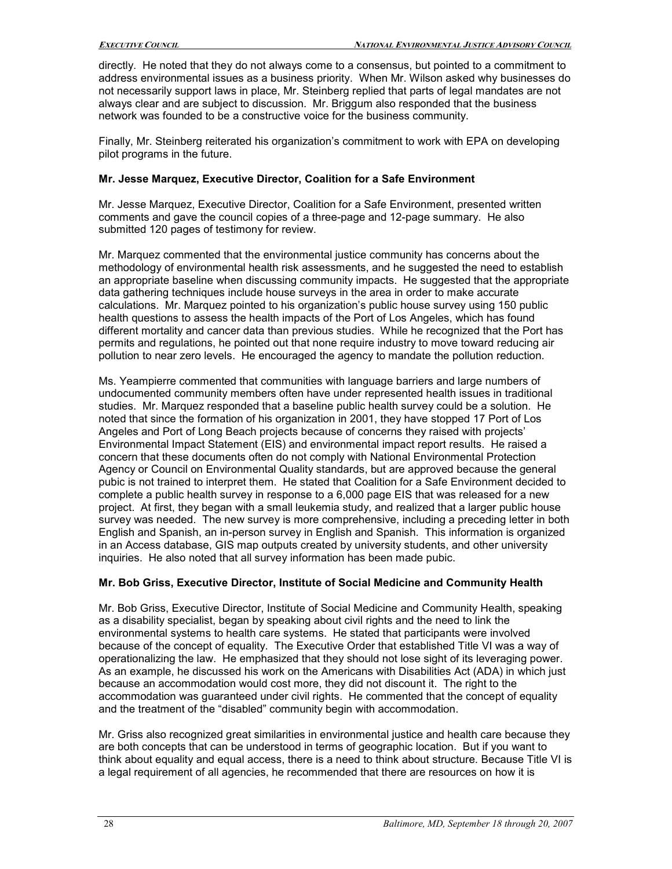directly. He noted that they do not always come to a consensus, but pointed to a commitment to address environmental issues as a business priority. When Mr. Wilson asked why businesses do not necessarily support laws in place, Mr. Steinberg replied that parts of legal mandates are not always clear and are subject to discussion. Mr. Briggum also responded that the business network was founded to be a constructive voice for the business community.

Finally, Mr. Steinberg reiterated his organization's commitment to work with EPA on developing pilot programs in the future.

#### **Mr. Jesse Marquez, Executive Director, Coalition for a Safe Environment**

Mr. Jesse Marquez, Executive Director, Coalition for a Safe Environment, presented written comments and gave the council copies of a three-page and 12-page summary. He also submitted 120 pages of testimony for review.

Mr. Marquez commented that the environmental justice community has concerns about the methodology of environmental health risk assessments, and he suggested the need to establish an appropriate baseline when discussing community impacts. He suggested that the appropriate data gathering techniques include house surveys in the area in order to make accurate calculations. Mr. Marquez pointed to his organization's public house survey using 150 public health questions to assess the health impacts of the Port of Los Angeles, which has found different mortality and cancer data than previous studies. While he recognized that the Port has permits and regulations, he pointed out that none require industry to move toward reducing air pollution to near zero levels. He encouraged the agency to mandate the pollution reduction.

Ms. Yeampierre commented that communities with language barriers and large numbers of undocumented community members often have under represented health issues in traditional studies. Mr. Marquez responded that a baseline public health survey could be a solution. He noted that since the formation of his organization in 2001, they have stopped 17 Port of Los Angeles and Port of Long Beach projects because of concerns they raised with projects' Environmental Impact Statement (EIS) and environmental impact report results. He raised a concern that these documents often do not comply with National Environmental Protection Agency or Council on Environmental Quality standards, but are approved because the general pubic is not trained to interpret them. He stated that Coalition for a Safe Environment decided to complete a public health survey in response to a 6,000 page EIS that was released for a new project. At first, they began with a small leukemia study, and realized that a larger public house survey was needed. The new survey is more comprehensive, including a preceding letter in both English and Spanish, an in-person survey in English and Spanish. This information is organized in an Access database, GIS map outputs created by university students, and other university inquiries. He also noted that all survey information has been made pubic.

### **Mr. Bob Griss, Executive Director, Institute of Social Medicine and Community Health**

Mr. Bob Griss, Executive Director, Institute of Social Medicine and Community Health, speaking as a disability specialist, began by speaking about civil rights and the need to link the environmental systems to health care systems. He stated that participants were involved because of the concept of equality. The Executive Order that established Title VI was a way of operationalizing the law. He emphasized that they should not lose sight of its leveraging power. As an example, he discussed his work on the Americans with Disabilities Act (ADA) in which just because an accommodation would cost more, they did not discount it. The right to the accommodation was guaranteed under civil rights. He commented that the concept of equality and the treatment of the "disabled" community begin with accommodation.

Mr. Griss also recognized great similarities in environmental justice and health care because they are both concepts that can be understood in terms of geographic location. But if you want to think about equality and equal access, there is a need to think about structure. Because Title VI is a legal requirement of all agencies, he recommended that there are resources on how it is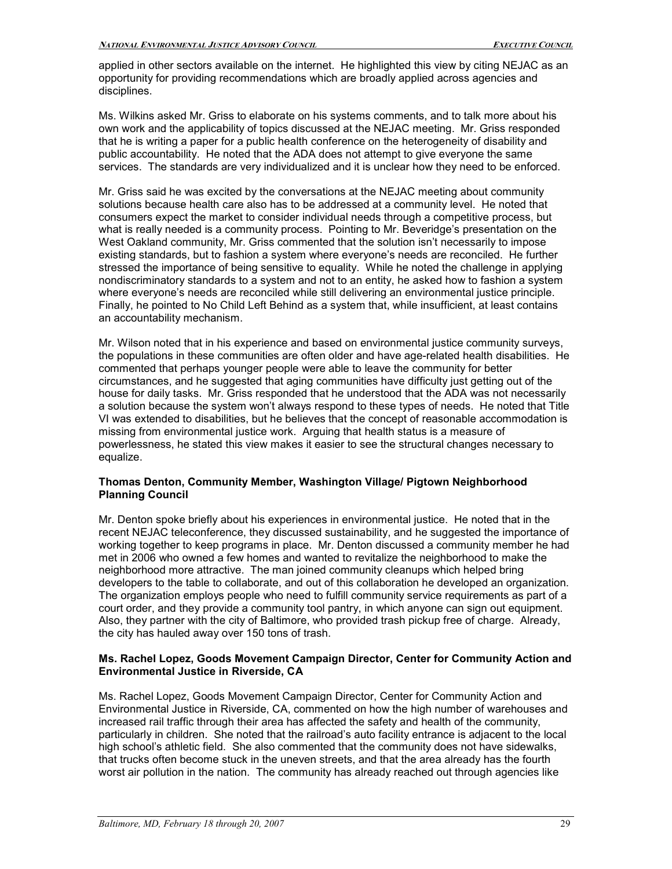applied in other sectors available on the internet. He highlighted this view by citing NEJAC as an opportunity for providing recommendations which are broadly applied across agencies and disciplines.

Ms. Wilkins asked Mr. Griss to elaborate on his systems comments, and to talk more about his own work and the applicability of topics discussed at the NEJAC meeting. Mr. Griss responded that he is writing a paper for a public health conference on the heterogeneity of disability and public accountability. He noted that the ADA does not attempt to give everyone the same services. The standards are very individualized and it is unclear how they need to be enforced.

Mr. Griss said he was excited by the conversations at the NEJAC meeting about community solutions because health care also has to be addressed at a community level. He noted that consumers expect the market to consider individual needs through a competitive process, but what is really needed is a community process. Pointing to Mr. Beveridge's presentation on the West Oakland community, Mr. Griss commented that the solution isn't necessarily to impose existing standards, but to fashion a system where everyone's needs are reconciled. He further stressed the importance of being sensitive to equality. While he noted the challenge in applying nondiscriminatory standards to a system and not to an entity, he asked how to fashion a system where everyone's needs are reconciled while still delivering an environmental justice principle. Finally, he pointed to No Child Left Behind as a system that, while insufficient, at least contains an accountability mechanism.

Mr. Wilson noted that in his experience and based on environmental justice community surveys, the populations in these communities are often older and have age-related health disabilities. He commented that perhaps younger people were able to leave the community for better circumstances, and he suggested that aging communities have difficulty just getting out of the house for daily tasks. Mr. Griss responded that he understood that the ADA was not necessarily a solution because the system won't always respond to these types of needs. He noted that Title VI was extended to disabilities, but he believes that the concept of reasonable accommodation is missing from environmental justice work. Arguing that health status is a measure of powerlessness, he stated this view makes it easier to see the structural changes necessary to equalize.

#### **Thomas Denton, Community Member, Washington Village/ Pigtown Neighborhood Planning Council**

Mr. Denton spoke briefly about his experiences in environmental justice. He noted that in the recent NEJAC teleconference, they discussed sustainability, and he suggested the importance of working together to keep programs in place. Mr. Denton discussed a community member he had met in 2006 who owned a few homes and wanted to revitalize the neighborhood to make the neighborhood more attractive. The man joined community cleanups which helped bring developers to the table to collaborate, and out of this collaboration he developed an organization. The organization employs people who need to fulfill community service requirements as part of a court order, and they provide a community tool pantry, in which anyone can sign out equipment. Also, they partner with the city of Baltimore, who provided trash pickup free of charge. Already, the city has hauled away over 150 tons of trash.

#### **Ms. Rachel Lopez, Goods Movement Campaign Director, Center for Community Action and Environmental Justice in Riverside, CA**

Ms. Rachel Lopez, Goods Movement Campaign Director, Center for Community Action and Environmental Justice in Riverside, CA, commented on how the high number of warehouses and increased rail traffic through their area has affected the safety and health of the community, particularly in children. She noted that the railroad's auto facility entrance is adjacent to the local high school's athletic field. She also commented that the community does not have sidewalks, that trucks often become stuck in the uneven streets, and that the area already has the fourth worst air pollution in the nation. The community has already reached out through agencies like